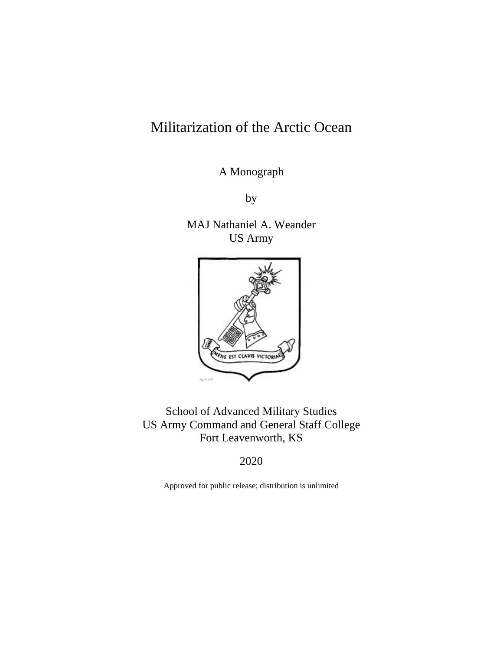# Militarization of the Arctic Ocean

A Monograph

by

MAJ Nathaniel A. Weander US Army



School of Advanced Military Studies US Army Command and General Staff College Fort Leavenworth, KS

2020

Approved for public release; distribution is unlimited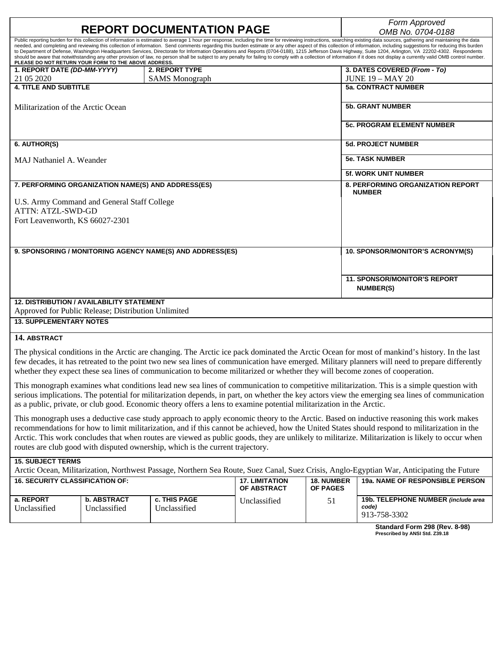|                                                                                                                                                                  | Form Approved                                                                                                                                                                                                                                                                                                                                                                                                                                                                                                                                                                                                                                                                                                                                                                                                                                                                                          |                                                           |  |  |  |  |
|------------------------------------------------------------------------------------------------------------------------------------------------------------------|--------------------------------------------------------------------------------------------------------------------------------------------------------------------------------------------------------------------------------------------------------------------------------------------------------------------------------------------------------------------------------------------------------------------------------------------------------------------------------------------------------------------------------------------------------------------------------------------------------------------------------------------------------------------------------------------------------------------------------------------------------------------------------------------------------------------------------------------------------------------------------------------------------|-----------------------------------------------------------|--|--|--|--|
| <b>REPORT DOCUMENTATION PAGE</b>                                                                                                                                 | OMB No. 0704-0188                                                                                                                                                                                                                                                                                                                                                                                                                                                                                                                                                                                                                                                                                                                                                                                                                                                                                      |                                                           |  |  |  |  |
| PLEASE DO NOT RETURN YOUR FORM TO THE ABOVE ADDRESS.                                                                                                             | Public reporting burden for this collection of information is estimated to average 1 hour per response, including the time for reviewing instructions, searching existing data sources, gathering and maintaining the data<br>needed, and completing and reviewing this collection of information. Send comments regarding this burden estimate or any other aspect of this collection of information, including suggestions for reducing this burden<br>to Department of Defense, Washington Headquarters Services, Directorate for Information Operations and Reports (0704-0188), 1215 Jefferson Davis Highway, Suite 1204, Arlington, VA 22202-4302. Respondents<br>should be aware that notwithstanding any other provision of law, no person shall be subject to any penalty for failing to comply with a collection of information if it does not display a currently valid OMB control number. |                                                           |  |  |  |  |
| 1. REPORT DATE (DD-MM-YYYY)                                                                                                                                      | 2. REPORT TYPE                                                                                                                                                                                                                                                                                                                                                                                                                                                                                                                                                                                                                                                                                                                                                                                                                                                                                         | 3. DATES COVERED (From - To)                              |  |  |  |  |
| 21 05 2020                                                                                                                                                       | <b>SAMS</b> Monograph                                                                                                                                                                                                                                                                                                                                                                                                                                                                                                                                                                                                                                                                                                                                                                                                                                                                                  | $JUNE 19 - MAY 20$                                        |  |  |  |  |
| <b>4. TITLE AND SUBTITLE</b>                                                                                                                                     |                                                                                                                                                                                                                                                                                                                                                                                                                                                                                                                                                                                                                                                                                                                                                                                                                                                                                                        | <b>5a. CONTRACT NUMBER</b>                                |  |  |  |  |
| Militarization of the Arctic Ocean                                                                                                                               |                                                                                                                                                                                                                                                                                                                                                                                                                                                                                                                                                                                                                                                                                                                                                                                                                                                                                                        | <b>5b. GRANT NUMBER</b>                                   |  |  |  |  |
|                                                                                                                                                                  |                                                                                                                                                                                                                                                                                                                                                                                                                                                                                                                                                                                                                                                                                                                                                                                                                                                                                                        | <b>5c. PROGRAM ELEMENT NUMBER</b>                         |  |  |  |  |
| 6. AUTHOR(S)                                                                                                                                                     |                                                                                                                                                                                                                                                                                                                                                                                                                                                                                                                                                                                                                                                                                                                                                                                                                                                                                                        | <b>5d. PROJECT NUMBER</b>                                 |  |  |  |  |
| MAJ Nathaniel A. Weander                                                                                                                                         | <b>5e. TASK NUMBER</b>                                                                                                                                                                                                                                                                                                                                                                                                                                                                                                                                                                                                                                                                                                                                                                                                                                                                                 |                                                           |  |  |  |  |
|                                                                                                                                                                  |                                                                                                                                                                                                                                                                                                                                                                                                                                                                                                                                                                                                                                                                                                                                                                                                                                                                                                        | <b>5f. WORK UNIT NUMBER</b>                               |  |  |  |  |
| 7. PERFORMING ORGANIZATION NAME(S) AND ADDRESS(ES)<br>U.S. Army Command and General Staff College<br><b>ATTN: ATZL-SWD-GD</b><br>Fort Leavenworth, KS 66027-2301 |                                                                                                                                                                                                                                                                                                                                                                                                                                                                                                                                                                                                                                                                                                                                                                                                                                                                                                        | <b>8. PERFORMING ORGANIZATION REPORT</b><br><b>NUMBER</b> |  |  |  |  |
| 9. SPONSORING / MONITORING AGENCY NAME(S) AND ADDRESS(ES)                                                                                                        |                                                                                                                                                                                                                                                                                                                                                                                                                                                                                                                                                                                                                                                                                                                                                                                                                                                                                                        | 10. SPONSOR/MONITOR'S ACRONYM(S)                          |  |  |  |  |
|                                                                                                                                                                  |                                                                                                                                                                                                                                                                                                                                                                                                                                                                                                                                                                                                                                                                                                                                                                                                                                                                                                        | <b>11. SPONSOR/MONITOR'S REPORT</b><br>NUMBER(S)          |  |  |  |  |
| <b>12. DISTRIBUTION / AVAILABILITY STATEMENT</b>                                                                                                                 |                                                                                                                                                                                                                                                                                                                                                                                                                                                                                                                                                                                                                                                                                                                                                                                                                                                                                                        |                                                           |  |  |  |  |
| Approved for Public Release; Distribution Unlimited                                                                                                              |                                                                                                                                                                                                                                                                                                                                                                                                                                                                                                                                                                                                                                                                                                                                                                                                                                                                                                        |                                                           |  |  |  |  |

**13. SUPPLEMENTARY NOTES**

#### **14. ABSTRACT**

The physical conditions in the Arctic are changing. The Arctic ice pack dominated the Arctic Ocean for most of mankind's history. In the last few decades, it has retreated to the point two new sea lines of communication have emerged. Military planners will need to prepare differently whether they expect these sea lines of communication to become militarized or whether they will become zones of cooperation.

This monograph examines what conditions lead new sea lines of communication to competitive militarization. This is a simple question with serious implications. The potential for militarization depends, in part, on whether the key actors view the emerging sea lines of communication as a public, private, or club good. Economic theory offers a lens to examine potential militarization in the Arctic.

This monograph uses a deductive case study approach to apply economic theory to the Arctic. Based on inductive reasoning this work makes recommendations for how to limit militarization, and if this cannot be achieved, how the United States should respond to militarization in the Arctic. This work concludes that when routes are viewed as public goods, they are unlikely to militarize. Militarization is likely to occur when routes are club good with disputed ownership, which is the current trajectory.

#### **15. SUBJECT TERMS**

Arctic Ocean, Militarization, Northwest Passage, Northern Sea Route, Suez Canal, Suez Crisis, Anglo-Egyptian War, Anticipating the Future

| <b>16. SECURITY CLASSIFICATION OF:</b> |                                    |                              | <b>17. LIMITATION</b><br><b>OF ABSTRACT</b> | <b>18. NUMBER</b><br><b>OF PAGES</b> | <b>19a. NAME OF RESPONSIBLE PERSON</b>                       |
|----------------------------------------|------------------------------------|------------------------------|---------------------------------------------|--------------------------------------|--------------------------------------------------------------|
| a. REPORT<br>Unclassified              | <b>b. ABSTRACT</b><br>Unclassified | c. THIS PAGE<br>Unclassified | Unclassified                                |                                      | 19b. TELEPHONE NUMBER (include area<br>code)<br>913-758-3302 |
|                                        |                                    |                              |                                             |                                      |                                                              |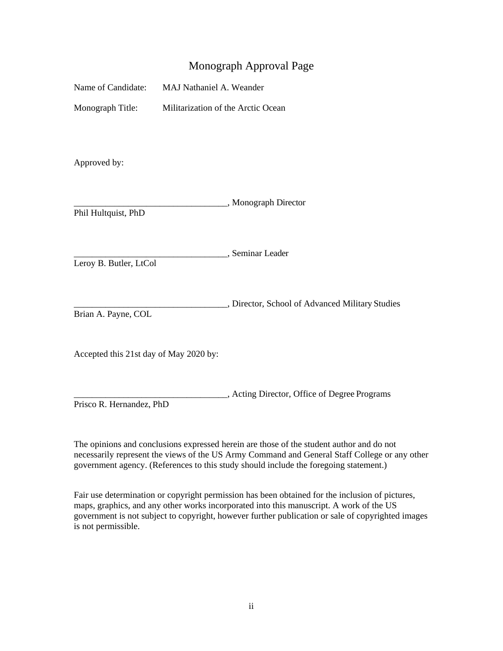### Monograph Approval Page

Monograph Title: Militarization of the Arctic Ocean

Approved by:

|                     | , Monograph Director |
|---------------------|----------------------|
| Phil Hultquist, PhD |                      |

\_\_\_\_\_\_\_\_\_\_\_\_\_\_\_\_\_\_\_\_\_\_\_\_\_\_\_\_\_\_\_\_\_\_, Seminar Leader

Leroy B. Butler, LtCol

\_\_\_\_\_\_\_\_\_\_\_\_\_\_\_\_\_\_\_\_\_\_\_\_\_\_\_\_\_\_\_\_\_\_, Director, School of Advanced Military Studies Brian A. Payne, COL

Accepted this 21st day of May 2020 by:

\_\_\_\_\_\_\_\_\_\_\_\_\_\_\_\_\_\_\_\_\_\_\_\_\_\_\_\_\_\_\_\_\_\_, Acting Director, Office of Degree Programs Prisco R. Hernandez, PhD

The opinions and conclusions expressed herein are those of the student author and do not necessarily represent the views of the US Army Command and General Staff College or any other government agency. (References to this study should include the foregoing statement.)

Fair use determination or copyright permission has been obtained for the inclusion of pictures, maps, graphics, and any other works incorporated into this manuscript. A work of the US government is not subject to copyright, however further publication or sale of copyrighted images is not permissible.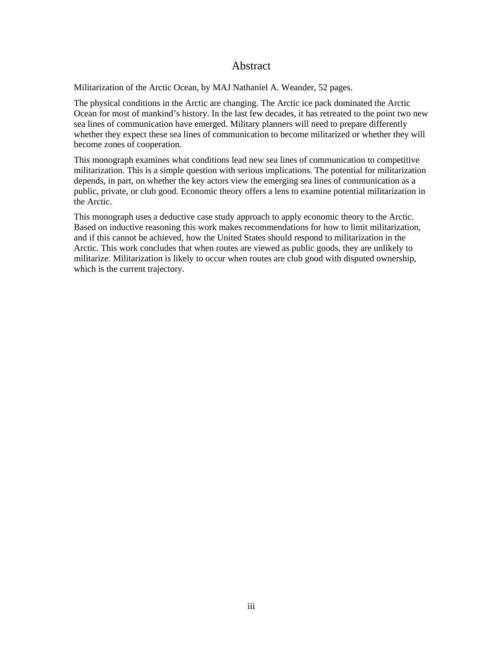### Abstract

Militarization of the Arctic Ocean, by MAJ Nathaniel A. Weander, 52 pages.

The physical conditions in the Arctic are changing. The Arctic ice pack dominated the Arctic Ocean for most of mankind's history. In the last few decades, it has retreated to the point two new sea lines of communication have emerged. Military planners will need to prepare differently whether they expect these sea lines of communication to become militarized or whether they will become zones of cooperation.

This monograph examines what conditions lead new sea lines of communication to competitive militarization. This is a simple question with serious implications. The potential for militarization depends, in part, on whether the key actors view the emerging sea lines of communication as a public, private, or club good. Economic theory offers a lens to examine potential militarization in the Arctic.

This monograph uses a deductive case study approach to apply economic theory to the Arctic. Based on inductive reasoning this work makes recommendations for how to limit militarization, and if this cannot be achieved, how the United States should respond to militarization in the Arctic. This work concludes that when routes are viewed as public goods, they are unlikely to militarize. Militarization is likely to occur when routes are club good with disputed ownership, which is the current trajectory.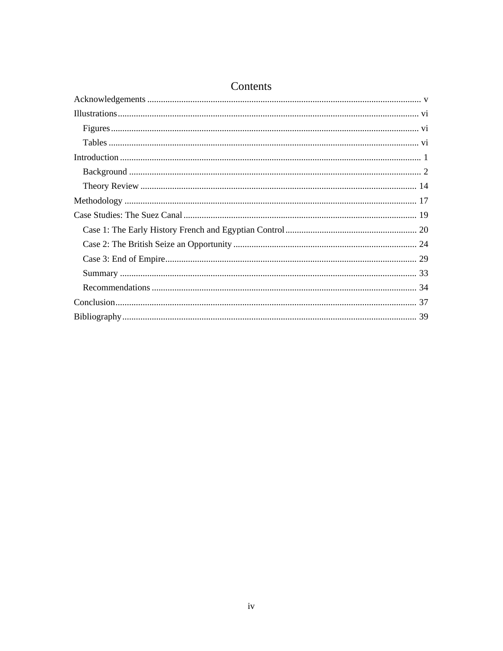## Contents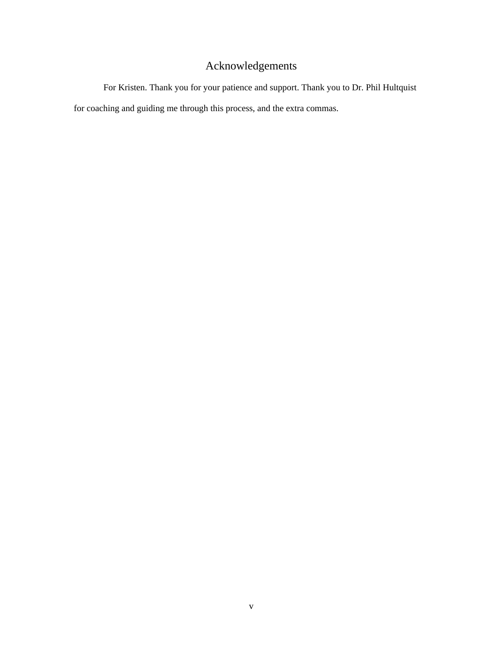## Acknowledgements

<span id="page-5-0"></span>For Kristen. Thank you for your patience and support. Thank you to Dr. Phil Hultquist for coaching and guiding me through this process, and the extra commas.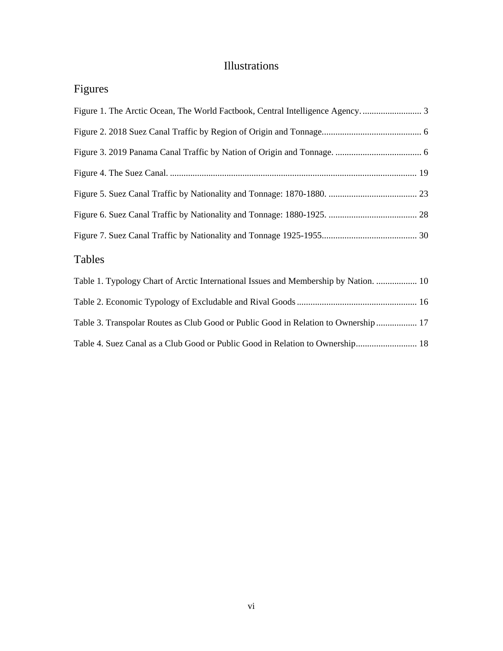## Illustrations

<span id="page-6-1"></span><span id="page-6-0"></span>Figures

<span id="page-6-2"></span>

| Figure 1. The Arctic Ocean, The World Factbook, Central Intelligence Agency          |
|--------------------------------------------------------------------------------------|
|                                                                                      |
|                                                                                      |
|                                                                                      |
|                                                                                      |
|                                                                                      |
|                                                                                      |
| Tables                                                                               |
| Table 1. Typology Chart of Arctic International Issues and Membership by Nation.  10 |
|                                                                                      |
| Table 3. Transpolar Routes as Club Good or Public Good in Relation to Ownership  17  |
| Table 4. Suez Canal as a Club Good or Public Good in Relation to Ownership 18        |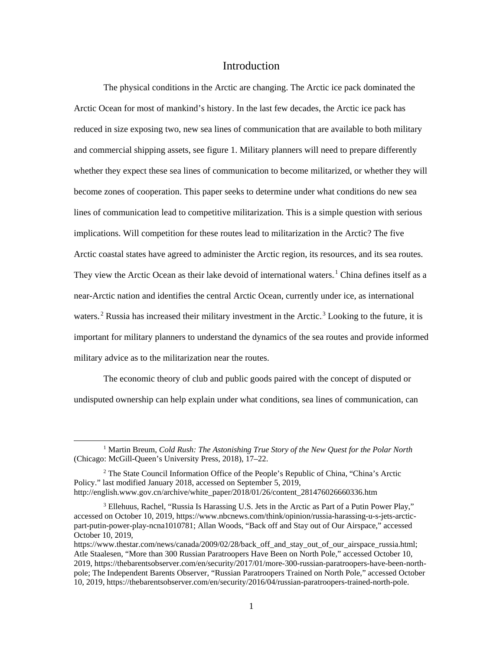#### Introduction

<span id="page-7-0"></span>The physical conditions in the Arctic are changing. The Arctic ice pack dominated the Arctic Ocean for most of mankind's history. In the last few decades, the Arctic ice pack has reduced in size exposing two, new sea lines of communication that are available to both military and commercial shipping assets, see [figure 1.](#page-9-0) Military planners will need to prepare differently whether they expect these sea lines of communication to become militarized, or whether they will become zones of cooperation. This paper seeks to determine under what conditions do new sea lines of communication lead to competitive militarization. This is a simple question with serious implications. Will competition for these routes lead to militarization in the Arctic? The five Arctic coastal states have agreed to administer the Arctic region, its resources, and its sea routes. They view the Arctic Ocean as their lake devoid of international waters.<sup>1</sup> China defines itself as a near-Arctic nation and identifies the central Arctic Ocean, currently under ice, as international waters.<sup>2</sup> Russia has increased their military investment in the Arctic.<sup>3</sup> Looking to the future, it is important for military planners to understand the dynamics of the sea routes and provide informed military advice as to the militarization near the routes.

The economic theory of club and public goods paired with the concept of disputed or undisputed ownership can help explain under what conditions, sea lines of communication, can

 <sup>1</sup> Martin Breum, *Cold Rush: The Astonishing True Story of the New Quest for the Polar North* (Chicago: McGill-Queen's University Press, 2018), 17–22.

<sup>2</sup> The State Council Information Office of the People's Republic of China, "China's Arctic Policy." last modified January 2018, accessed on September 5, 2019, http://english.www.gov.cn/archive/white\_paper/2018/01/26/content\_281476026660336.htm

<sup>3</sup> Ellehuus, Rachel, "Russia Is Harassing U.S. Jets in the Arctic as Part of a Putin Power Play," accessed on October 10, 2019, https://www.nbcnews.com/think/opinion/russia-harassing-u-s-jets-arcticpart-putin-power-play-ncna1010781; Allan Woods, "Back off and Stay out of Our Airspace," accessed October 10, 2019,

https://www.thestar.com/news/canada/2009/02/28/back off and stay out of our airspace russia.html; Atle Staalesen, "More than 300 Russian Paratroopers Have Been on North Pole," accessed October 10, 2019, https://thebarentsobserver.com/en/security/2017/01/more-300-russian-paratroopers-have-been-northpole; The Independent Barents Observer, "Russian Paratroopers Trained on North Pole," accessed October 10, 2019, https://thebarentsobserver.com/en/security/2016/04/russian-paratroopers-trained-north-pole.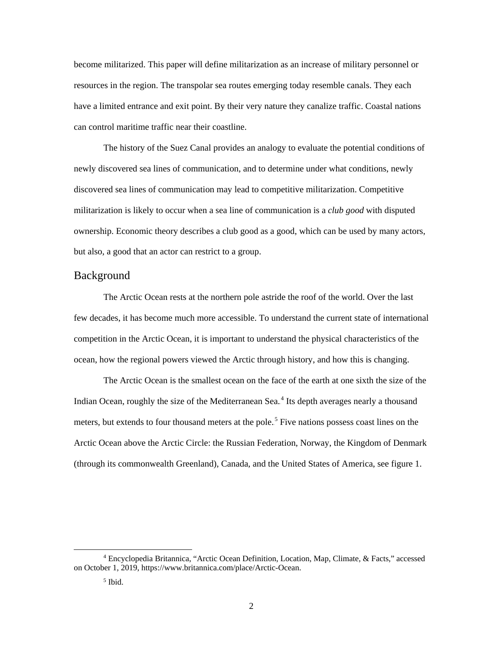become militarized. This paper will define militarization as an increase of military personnel or resources in the region. The transpolar sea routes emerging today resemble canals. They each have a limited entrance and exit point. By their very nature they canalize traffic. Coastal nations can control maritime traffic near their coastline.

The history of the Suez Canal provides an analogy to evaluate the potential conditions of newly discovered sea lines of communication, and to determine under what conditions, newly discovered sea lines of communication may lead to competitive militarization. Competitive militarization is likely to occur when a sea line of communication is a *club good* with disputed ownership. Economic theory describes a club good as a good, which can be used by many actors, but also, a good that an actor can restrict to a group.

#### <span id="page-8-0"></span>Background

The Arctic Ocean rests at the northern pole astride the roof of the world. Over the last few decades, it has become much more accessible. To understand the current state of international competition in the Arctic Ocean, it is important to understand the physical characteristics of the ocean, how the regional powers viewed the Arctic through history, and how this is changing.

The Arctic Ocean is the smallest ocean on the face of the earth at one sixth the size of the Indian Ocean, roughly the size of the Mediterranean Sea.<sup>4</sup> Its depth averages nearly a thousand meters, but extends to four thousand meters at the pole.<sup>5</sup> Five nations possess coast lines on the Arctic Ocean above the Arctic Circle: the Russian Federation, Norway, the Kingdom of Denmark (through its commonwealth Greenland), Canada, and the United States of America, see [figure 1.](#page-9-0)

 <sup>4</sup> Encyclopedia Britannica, "Arctic Ocean Definition, Location, Map, Climate, & Facts," accessed on October 1, 2019, https://www.britannica.com/place/Arctic-Ocean.

<sup>5</sup> Ibid.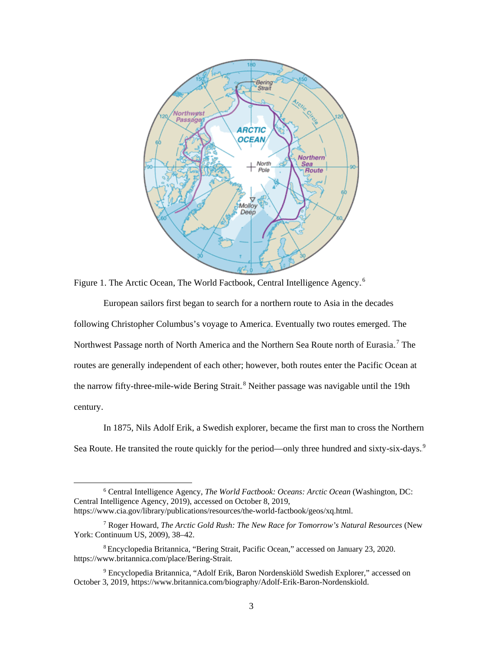

<span id="page-9-0"></span>Figure 1. The Arctic Ocean, The World Factbook, Central Intelligence Agency.<sup>6</sup>

European sailors first began to search for a northern route to Asia in the decades following Christopher Columbus's voyage to America. Eventually two routes emerged. The Northwest Passage north of North America and the Northern Sea Route north of Eurasia.<sup>7</sup> The routes are generally independent of each other; however, both routes enter the Pacific Ocean at the narrow fifty-three-mile-wide Bering Strait.<sup>8</sup> Neither passage was navigable until the 19th century.

In 1875, Nils Adolf Erik, a Swedish explorer, became the first man to cross the Northern Sea Route. He transited the route quickly for the period—only three hundred and sixty-six-days.<sup>9</sup>

 <sup>6</sup> Central Intelligence Agency, *The World Factbook: Oceans: Arctic Ocean* (Washington, DC: Central Intelligence Agency, 2019), accessed on October 8, 2019, https://www.cia.gov/library/publications/resources/the-world-factbook/geos/xq.html.

<sup>7</sup> Roger Howard, *The Arctic Gold Rush: The New Race for Tomorrow's Natural Resources* (New York: Continuum US, 2009), 38–42.

<sup>8</sup> Encyclopedia Britannica, "Bering Strait, Pacific Ocean," accessed on January 23, 2020. https://www.britannica.com/place/Bering-Strait.

<sup>9</sup> Encyclopedia Britannica, "Adolf Erik, Baron Nordenskiöld Swedish Explorer," accessed on October 3, 2019, https://www.britannica.com/biography/Adolf-Erik-Baron-Nordenskiold.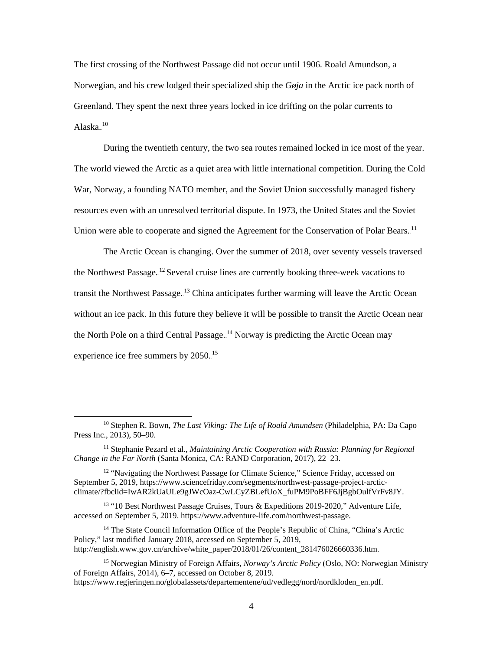The first crossing of the Northwest Passage did not occur until 1906. Roald Amundson, a Norwegian, and his crew lodged their specialized ship the *Gøja* in the Arctic ice pack north of Greenland. They spent the next three years locked in ice drifting on the polar currents to Alaska. $^{10}$ 

During the twentieth century, the two sea routes remained locked in ice most of the year. The world viewed the Arctic as a quiet area with little international competition. During the Cold War, Norway, a founding NATO member, and the Soviet Union successfully managed fishery resources even with an unresolved territorial dispute. In 1973, the United States and the Soviet Union were able to cooperate and signed the Agreement for the Conservation of Polar Bears.<sup>11</sup>

The Arctic Ocean is changing. Over the summer of 2018, over seventy vessels traversed the Northwest Passage.<sup>12</sup> Several cruise lines are currently booking three-week vacations to transit the Northwest Passage.<sup>13</sup> China anticipates further warming will leave the Arctic Ocean without an ice pack. In this future they believe it will be possible to transit the Arctic Ocean near the North Pole on a third Central Passage.<sup>14</sup> Norway is predicting the Arctic Ocean may experience ice free summers by  $2050^{-15}$ 

 <sup>10</sup> Stephen R. Bown, *The Last Viking: The Life of Roald Amundsen* (Philadelphia, PA: Da Capo Press Inc., 2013), 50–90.

<sup>&</sup>lt;sup>11</sup> Stephanie Pezard et al., *Maintaining Arctic Cooperation with Russia: Planning for Regional Change in the Far North* (Santa Monica, CA: RAND Corporation, 2017), 22–23.

<sup>&</sup>lt;sup>12</sup> "Navigating the Northwest Passage for Climate Science," Science Friday, accessed on September 5, 2019, https://www.sciencefriday.com/segments/northwest-passage-project-arcticclimate/?fbclid=IwAR2kUaULe9gJWcOaz-CwLCyZBLefUoX\_fuPM9PoBFF6JjBgbOulfVrFv8JY.

<sup>&</sup>lt;sup>13</sup> "10 Best Northwest Passage Cruises, Tours & Expeditions 2019-2020," Adventure Life, accessed on September 5, 2019. https://www.adventure-life.com/northwest-passage.

<sup>&</sup>lt;sup>14</sup> The State Council Information Office of the People's Republic of China, "China's Arctic Policy," last modified January 2018, accessed on September 5, 2019, http://english.www.gov.cn/archive/white\_paper/2018/01/26/content\_281476026660336.htm.

<sup>15</sup> Norwegian Ministry of Foreign Affairs, *Norway's Arctic Policy* (Oslo, NO: Norwegian Ministry of Foreign Affairs, 2014), 6–7, accessed on October 8, 2019. https://www.regjeringen.no/globalassets/departementene/ud/vedlegg/nord/nordkloden\_en.pdf.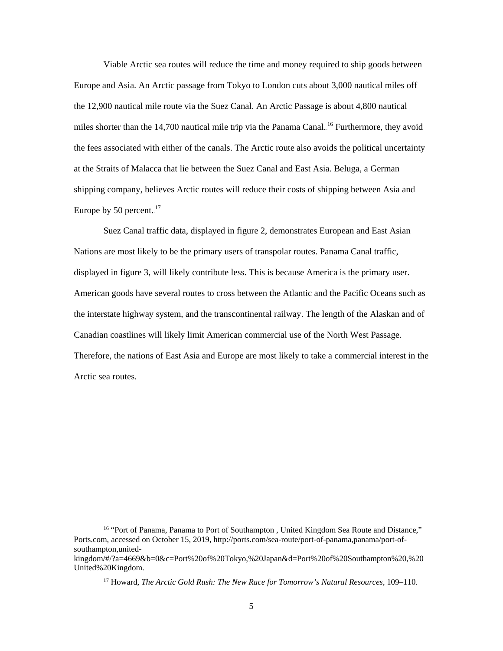Viable Arctic sea routes will reduce the time and money required to ship goods between Europe and Asia. An Arctic passage from Tokyo to London cuts about 3,000 nautical miles off the 12,900 nautical mile route via the Suez Canal. An Arctic Passage is about 4,800 nautical miles shorter than the 14,700 nautical mile trip via the Panama Canal.<sup>16</sup> Furthermore, they avoid the fees associated with either of the canals. The Arctic route also avoids the political uncertainty at the Straits of Malacca that lie between the Suez Canal and East Asia. Beluga, a German shipping company, believes Arctic routes will reduce their costs of shipping between Asia and Europe by 50 percent. $17$ 

Suez Canal traffic data, displayed in [figure 2,](#page-12-0) demonstrates European and East Asian Nations are most likely to be the primary users of transpolar routes. Panama Canal traffic, displayed in [figure 3,](#page-12-1) will likely contribute less. This is because America is the primary user. American goods have several routes to cross between the Atlantic and the Pacific Oceans such as the interstate highway system, and the transcontinental railway. The length of the Alaskan and of Canadian coastlines will likely limit American commercial use of the North West Passage. Therefore, the nations of East Asia and Europe are most likely to take a commercial interest in the Arctic sea routes.

<sup>&</sup>lt;sup>16</sup> "Port of Panama, Panama to Port of Southampton, United Kingdom Sea Route and Distance," Ports.com, accessed on October 15, 2019, http://ports.com/sea-route/port-of-panama,panama/port-ofsouthampton,united-

kingdom/#/?a=4669&b=0&c=Port%20of%20Tokyo,%20Japan&d=Port%20of%20Southampton%20,%20 United%20Kingdom.

<sup>17</sup> Howard, *The Arctic Gold Rush: The New Race for Tomorrow's Natural Resources*, 109–110.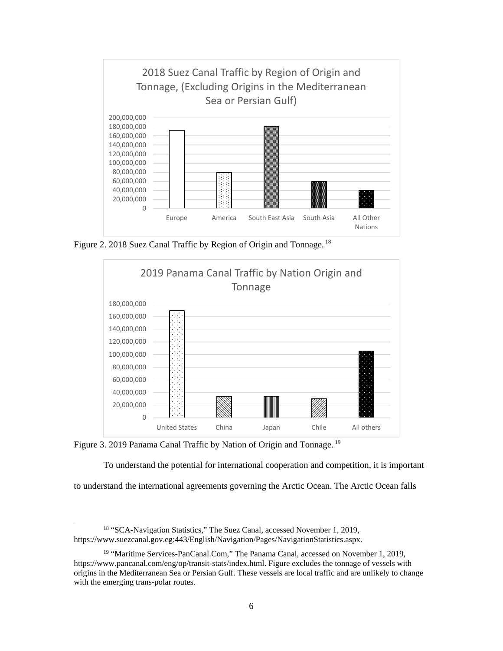

<span id="page-12-0"></span>Figure 2. 2018 Suez Canal Traffic by Region of Origin and Tonnage.<sup>18</sup>



<span id="page-12-1"></span>Figure 3. 2019 Panama Canal Traffic by Nation of Origin and Tonnage.<sup>19</sup>

To understand the potential for international cooperation and competition, it is important

to understand the international agreements governing the Arctic Ocean. The Arctic Ocean falls

<sup>&</sup>lt;sup>18</sup> "SCA-Navigation Statistics," The Suez Canal, accessed November 1, 2019, https://www.suezcanal.gov.eg:443/English/Navigation/Pages/NavigationStatistics.aspx.

<sup>&</sup>lt;sup>19</sup> "Maritime Services-PanCanal.Com," The Panama Canal, accessed on November 1, 2019, https://www.pancanal.com/eng/op/transit-stats/index.html. Figure excludes the tonnage of vessels with origins in the Mediterranean Sea or Persian Gulf. These vessels are local traffic and are unlikely to change with the emerging trans-polar routes.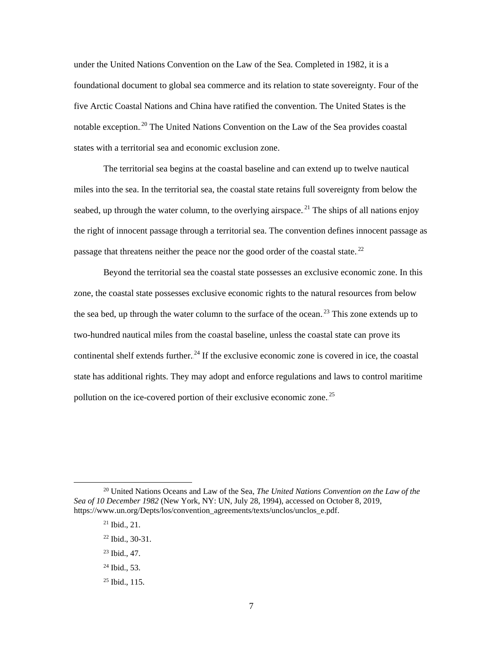under the United Nations Convention on the Law of the Sea. Completed in 1982, it is a foundational document to global sea commerce and its relation to state sovereignty. Four of the five Arctic Coastal Nations and China have ratified the convention. The United States is the notable exception.<sup>20</sup> The United Nations Convention on the Law of the Sea provides coastal states with a territorial sea and economic exclusion zone.

The territorial sea begins at the coastal baseline and can extend up to twelve nautical miles into the sea. In the territorial sea, the coastal state retains full sovereignty from below the seabed, up through the water column, to the overlying airspace.<sup>21</sup> The ships of all nations enjoy the right of innocent passage through a territorial sea. The convention defines innocent passage as passage that threatens neither the peace nor the good order of the coastal state.<sup>22</sup>

Beyond the territorial sea the coastal state possesses an exclusive economic zone. In this zone, the coastal state possesses exclusive economic rights to the natural resources from below the sea bed, up through the water column to the surface of the ocean.<sup>23</sup> This zone extends up to two-hundred nautical miles from the coastal baseline, unless the coastal state can prove its continental shelf extends further.<sup>24</sup> If the exclusive economic zone is covered in ice, the coastal state has additional rights. They may adopt and enforce regulations and laws to control maritime pollution on the ice-covered portion of their exclusive economic zone.<sup>25</sup>

- 23 Ibid., 47.
- 24 Ibid., 53.
- $25$  Ibid., 115.

 <sup>20</sup> United Nations Oceans and Law of the Sea, *The United Nations Convention on the Law of the Sea of 10 December 1982* (New York, NY: UN, July 28, 1994), accessed on October 8, 2019, https://www.un.org/Depts/los/convention\_agreements/texts/unclos/unclos\_e.pdf.

<sup>21</sup> Ibid., 21.

<sup>22</sup> Ibid., 30-31.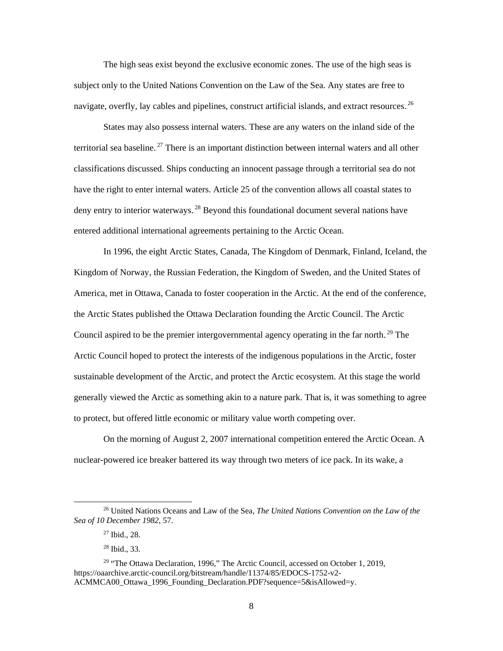The high seas exist beyond the exclusive economic zones. The use of the high seas is subject only to the United Nations Convention on the Law of the Sea. Any states are free to navigate, overfly, lay cables and pipelines, construct artificial islands, and extract resources.<sup>26</sup>

States may also possess internal waters. These are any waters on the inland side of the territorial sea baseline.<sup>27</sup> There is an important distinction between internal waters and all other classifications discussed. Ships conducting an innocent passage through a territorial sea do not have the right to enter internal waters. Article 25 of the convention allows all coastal states to deny entry to interior waterways.<sup>28</sup> Beyond this foundational document several nations have entered additional international agreements pertaining to the Arctic Ocean.

In 1996, the eight Arctic States, Canada, The Kingdom of Denmark, Finland, Iceland, the Kingdom of Norway, the Russian Federation, the Kingdom of Sweden, and the United States of America, met in Ottawa, Canada to foster cooperation in the Arctic. At the end of the conference, the Arctic States published the Ottawa Declaration founding the Arctic Council. The Arctic Council aspired to be the premier intergovernmental agency operating in the far north.<sup>29</sup> The Arctic Council hoped to protect the interests of the indigenous populations in the Arctic, foster sustainable development of the Arctic, and protect the Arctic ecosystem. At this stage the world generally viewed the Arctic as something akin to a nature park. That is, it was something to agree to protect, but offered little economic or military value worth competing over.

On the morning of August 2, 2007 international competition entered the Arctic Ocean. A nuclear-powered ice breaker battered its way through two meters of ice pack. In its wake, a

 <sup>26</sup> United Nations Oceans and Law of the Sea, *The United Nations Convention on the Law of the Sea of 10 December 1982*, 57.

<sup>27</sup> Ibid., 28.

<sup>28</sup> Ibid., 33.

 $29$  "The Ottawa Declaration, 1996," The Arctic Council, accessed on October 1, 2019, https://oaarchive.arctic-council.org/bitstream/handle/11374/85/EDOCS-1752-v2- ACMMCA00\_Ottawa\_1996\_Founding\_Declaration.PDF?sequence=5&isAllowed=y.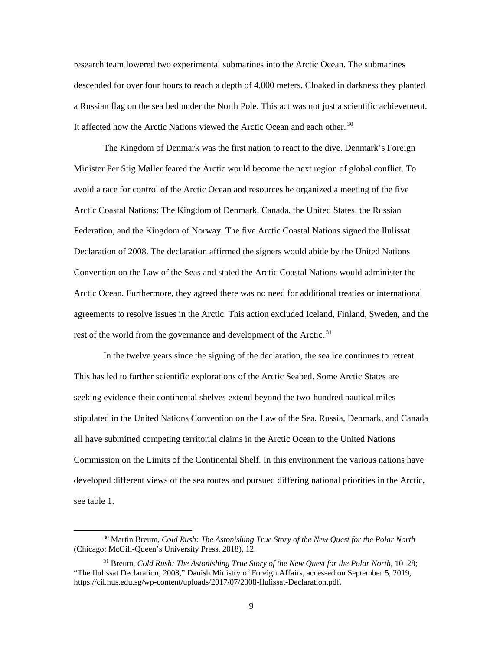research team lowered two experimental submarines into the Arctic Ocean. The submarines descended for over four hours to reach a depth of 4,000 meters. Cloaked in darkness they planted a Russian flag on the sea bed under the North Pole. This act was not just a scientific achievement. It affected how the Arctic Nations viewed the Arctic Ocean and each other.<sup>30</sup>

The Kingdom of Denmark was the first nation to react to the dive. Denmark's Foreign Minister Per Stig Møller feared the Arctic would become the next region of global conflict. To avoid a race for control of the Arctic Ocean and resources he organized a meeting of the five Arctic Coastal Nations: The Kingdom of Denmark, Canada, the United States, the Russian Federation, and the Kingdom of Norway. The five Arctic Coastal Nations signed the Ilulissat Declaration of 2008. The declaration affirmed the signers would abide by the United Nations Convention on the Law of the Seas and stated the Arctic Coastal Nations would administer the Arctic Ocean. Furthermore, they agreed there was no need for additional treaties or international agreements to resolve issues in the Arctic. This action excluded Iceland, Finland, Sweden, and the rest of the world from the governance and development of the Arctic.<sup>31</sup>

In the twelve years since the signing of the declaration, the sea ice continues to retreat. This has led to further scientific explorations of the Arctic Seabed. Some Arctic States are seeking evidence their continental shelves extend beyond the two-hundred nautical miles stipulated in the United Nations Convention on the Law of the Sea. Russia, Denmark, and Canada all have submitted competing territorial claims in the Arctic Ocean to the United Nations Commission on the Limits of the Continental Shelf. In this environment the various nations have developed different views of the sea routes and pursued differing national priorities in the Arctic, see [table 1.](#page-16-0)

 <sup>30</sup> Martin Breum, *Cold Rush: The Astonishing True Story of the New Quest for the Polar North* (Chicago: McGill-Queen's University Press, 2018), 12.

<sup>31</sup> Breum, *Cold Rush: The Astonishing True Story of the New Quest for the Polar North*, 10–28; "The Ilulissat Declaration, 2008," Danish Ministry of Foreign Affairs, accessed on September 5, 2019, https://cil.nus.edu.sg/wp-content/uploads/2017/07/2008-Ilulissat-Declaration.pdf.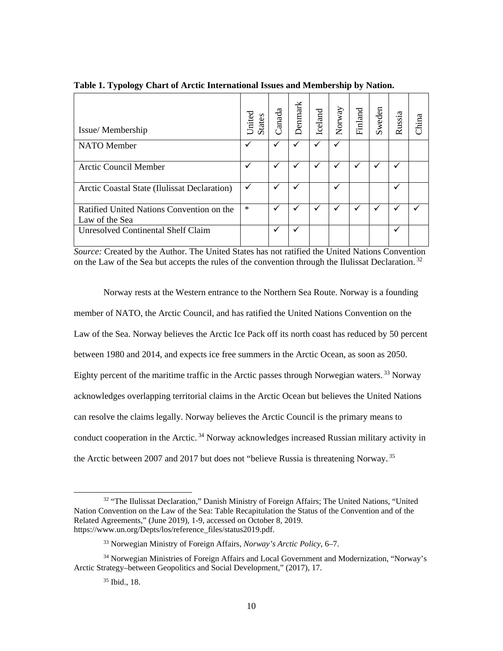| Issue/Membership                                            | United<br><b>States</b> | anada        | Denmark | Iceland | Norway | Finland | Sweden | Russia | China |
|-------------------------------------------------------------|-------------------------|--------------|---------|---------|--------|---------|--------|--------|-------|
| <b>NATO</b> Member                                          |                         |              |         |         |        |         |        |        |       |
| <b>Arctic Council Member</b>                                | ✓                       | $\mathbf{v}$ |         | ✓       | ✓      | ✓       |        | ✓      |       |
| Arctic Coastal State (Ilulissat Declaration)                | ✓                       | $\checkmark$ |         |         | ✓      |         |        | ✓      |       |
| Ratified United Nations Convention on the<br>Law of the Sea | $\ast$                  | $\checkmark$ |         | ✓       | ✓      | ✓       |        | ✓      |       |
| <b>Unresolved Continental Shelf Claim</b>                   |                         | ✔            |         |         |        |         |        | ✓      |       |

<span id="page-16-0"></span>**Table 1. Typology Chart of Arctic International Issues and Membership by Nation.**

*Source:* Created by the Author. The United States has not ratified the United Nations Convention on the Law of the Sea but accepts the rules of the convention through the Ilulissat Declaration.<sup>32</sup>

Norway rests at the Western entrance to the Northern Sea Route. Norway is a founding member of NATO, the Arctic Council, and has ratified the United Nations Convention on the Law of the Sea. Norway believes the Arctic Ice Pack off its north coast has reduced by 50 percent between 1980 and 2014, and expects ice free summers in the Arctic Ocean, as soon as 2050. Eighty percent of the maritime traffic in the Arctic passes through Norwegian waters.<sup>33</sup> Norway acknowledges overlapping territorial claims in the Arctic Ocean but believes the United Nations can resolve the claims legally. Norway believes the Arctic Council is the primary means to conduct cooperation in the Arctic.<sup>34</sup> Norway acknowledges increased Russian military activity in the Arctic between 2007 and 2017 but does not "believe Russia is threatening Norway.<sup>35</sup>

<sup>&</sup>lt;sup>32</sup> "The Ilulissat Declaration," Danish Ministry of Foreign Affairs; The United Nations, "United Nation Convention on the Law of the Sea: Table Recapitulation the Status of the Convention and of the Related Agreements," (June 2019), 1-9, accessed on October 8, 2019. https://www.un.org/Depts/los/reference\_files/status2019.pdf.

<sup>33</sup> Norwegian Ministry of Foreign Affairs, *Norway's Arctic Policy*, 6–7.

<sup>34</sup> Norwegian Ministries of Foreign Affairs and Local Government and Modernization, "Norway's Arctic Strategy–between Geopolitics and Social Development," (2017), 17.

<sup>35</sup> Ibid., 18.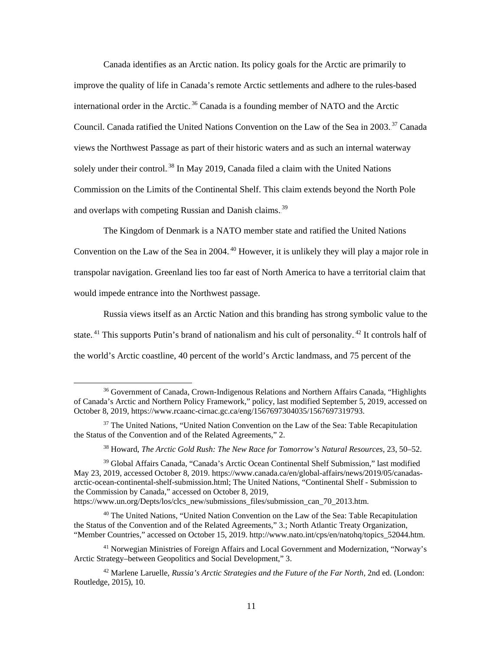Canada identifies as an Arctic nation. Its policy goals for the Arctic are primarily to improve the quality of life in Canada's remote Arctic settlements and adhere to the rules-based international order in the Arctic.<sup>36</sup> Canada is a founding member of NATO and the Arctic Council. Canada ratified the United Nations Convention on the Law of the Sea in 2003.<sup>37</sup> Canada views the Northwest Passage as part of their historic waters and as such an internal waterway solely under their control.<sup>38</sup> In May 2019, Canada filed a claim with the United Nations Commission on the Limits of the Continental Shelf. This claim extends beyond the North Pole and overlaps with competing Russian and Danish claims.<sup>39</sup>

The Kingdom of Denmark is a NATO member state and ratified the United Nations Convention on the Law of the Sea in 2004. $40$  However, it is unlikely they will play a major role in transpolar navigation. Greenland lies too far east of North America to have a territorial claim that would impede entrance into the Northwest passage.

Russia views itself as an Arctic Nation and this branding has strong symbolic value to the state.<sup>41</sup> This supports Putin's brand of nationalism and his cult of personality.<sup>42</sup> It controls half of the world's Arctic coastline, 40 percent of the world's Arctic landmass, and 75 percent of the

https://www.un.org/Depts/los/clcs\_new/submissions\_files/submission\_can\_70\_2013.htm.

 <sup>36</sup> Government of Canada, Crown-Indigenous Relations and Northern Affairs Canada, "Highlights of Canada's Arctic and Northern Policy Framework," policy, last modified September 5, 2019, accessed on October 8, 2019, https://www.rcaanc-cirnac.gc.ca/eng/1567697304035/1567697319793.

<sup>&</sup>lt;sup>37</sup> The United Nations, "United Nation Convention on the Law of the Sea: Table Recapitulation the Status of the Convention and of the Related Agreements," 2.

<sup>38</sup> Howard, *The Arctic Gold Rush: The New Race for Tomorrow's Natural Resources*, 23, 50–52.

<sup>39</sup> Global Affairs Canada, "Canada's Arctic Ocean Continental Shelf Submission," last modified May 23, 2019, accessed October 8, 2019. https://www.canada.ca/en/global-affairs/news/2019/05/canadasarctic-ocean-continental-shelf-submission.html; The United Nations, "Continental Shelf - Submission to the Commission by Canada," accessed on October 8, 2019,

<sup>40</sup> The United Nations, "United Nation Convention on the Law of the Sea: Table Recapitulation the Status of the Convention and of the Related Agreements," 3.; North Atlantic Treaty Organization, "Member Countries," accessed on October 15, 2019. http://www.nato.int/cps/en/natohq/topics\_52044.htm.

<sup>41</sup> Norwegian Ministries of Foreign Affairs and Local Government and Modernization, "Norway's Arctic Strategy–between Geopolitics and Social Development," 3.

<sup>42</sup> Marlene Laruelle, *Russia's Arctic Strategies and the Future of the Far North*, 2nd ed. (London: Routledge, 2015), 10.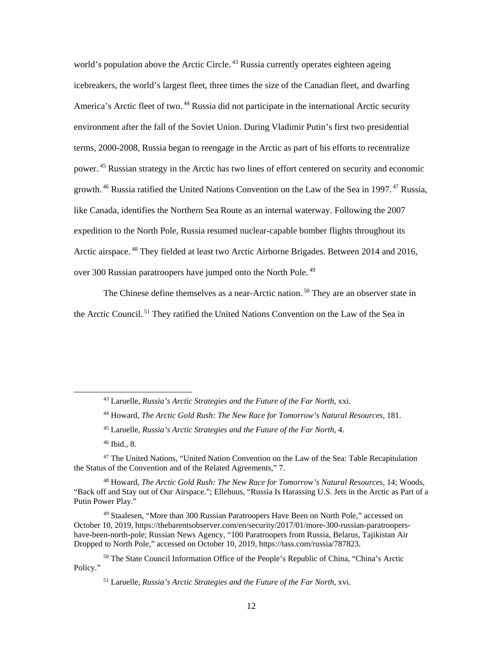world's population above the Arctic Circle.<sup>43</sup> Russia currently operates eighteen ageing icebreakers, the world's largest fleet, three times the size of the Canadian fleet, and dwarfing America's Arctic fleet of two.<sup>44</sup> Russia did not participate in the international Arctic security environment after the fall of the Soviet Union. During Vladimir Putin's first two presidential terms, 2000-2008, Russia began to reengage in the Arctic as part of his efforts to recentralize power.<sup>45</sup> Russian strategy in the Arctic has two lines of effort centered on security and economic growth.<sup>46</sup> Russia ratified the United Nations Convention on the Law of the Sea in 1997.<sup>47</sup> Russia, like Canada, identifies the Northern Sea Route as an internal waterway. Following the 2007 expedition to the North Pole, Russia resumed nuclear-capable bomber flights throughout its Arctic airspace.<sup>48</sup> They fielded at least two Arctic Airborne Brigades. Between 2014 and 2016, over 300 Russian paratroopers have jumped onto the North Pole.<sup>49</sup>

The Chinese define themselves as a near-Arctic nation.<sup>50</sup> They are an observer state in the Arctic Council.<sup>51</sup> They ratified the United Nations Convention on the Law of the Sea in

 <sup>43</sup> Laruelle, *Russia's Arctic Strategies and the Future of the Far North*, xxi.

<sup>44</sup> Howard, *The Arctic Gold Rush: The New Race for Tomorrow's Natural Resources*, 181.

<sup>45</sup> Laruelle, *Russia's Arctic Strategies and the Future of the Far North*, 4.

<sup>46</sup> Ibid., 8.

<sup>47</sup> The United Nations, "United Nation Convention on the Law of the Sea: Table Recapitulation the Status of the Convention and of the Related Agreements," 7.

<sup>48</sup> Howard, *The Arctic Gold Rush: The New Race for Tomorrow's Natural Resources*, 14; Woods, "Back off and Stay out of Our Airspace."; Ellehuus, "Russia Is Harassing U.S. Jets in the Arctic as Part of a Putin Power Play."

<sup>49</sup> Staalesen, "More than 300 Russian Paratroopers Have Been on North Pole," accessed on October 10, 2019, https://thebarentsobserver.com/en/security/2017/01/more-300-russian-paratroopershave-been-north-pole; Russian News Agency, "100 Paratroopers from Russia, Belarus, Tajikistan Air Dropped to North Pole," accessed on October 10, 2019, https://tass.com/russia/787823.

<sup>50</sup> The State Council Information Office of the People's Republic of China, "China's Arctic Policy."

<sup>51</sup> Laruelle, *Russia's Arctic Strategies and the Future of the Far North*, xvi.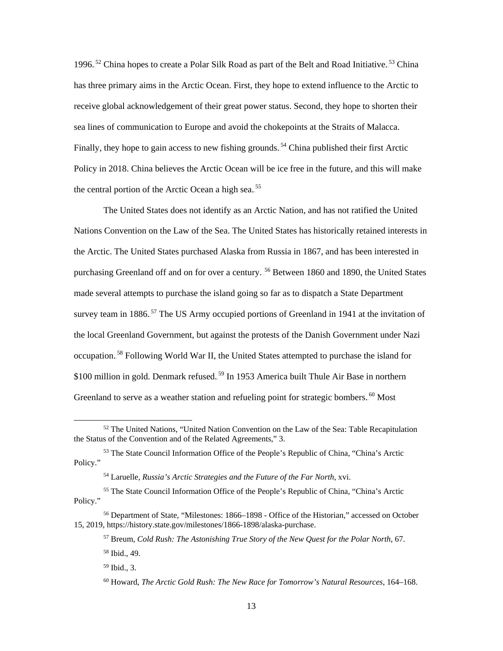1996.<sup>52</sup> China hopes to create a Polar Silk Road as part of the Belt and Road Initiative.<sup>53</sup> China has three primary aims in the Arctic Ocean. First, they hope to extend influence to the Arctic to receive global acknowledgement of their great power status. Second, they hope to shorten their sea lines of communication to Europe and avoid the chokepoints at the Straits of Malacca. Finally, they hope to gain access to new fishing grounds.<sup>54</sup> China published their first Arctic Policy in 2018. China believes the Arctic Ocean will be ice free in the future, and this will make the central portion of the Arctic Ocean a high sea.<sup>55</sup>

The United States does not identify as an Arctic Nation, and has not ratified the United Nations Convention on the Law of the Sea. The United States has historically retained interests in the Arctic. The United States purchased Alaska from Russia in 1867, and has been interested in purchasing Greenland off and on for over a century.<sup>56</sup> Between 1860 and 1890, the United States made several attempts to purchase the island going so far as to dispatch a State Department survey team in 1886.<sup>57</sup> The US Army occupied portions of Greenland in 1941 at the invitation of the local Greenland Government, but against the protests of the Danish Government under Nazi occupation.<sup>58</sup> Following World War II, the United States attempted to purchase the island for \$100 million in gold. Denmark refused.<sup>59</sup> In 1953 America built Thule Air Base in northern Greenland to serve as a weather station and refueling point for strategic bombers.<sup>60</sup> Most

 <sup>52</sup> The United Nations, "United Nation Convention on the Law of the Sea: Table Recapitulation the Status of the Convention and of the Related Agreements," 3.

<sup>53</sup> The State Council Information Office of the People's Republic of China, "China's Arctic Policy."

<sup>54</sup> Laruelle, *Russia's Arctic Strategies and the Future of the Far North*, xvi.

<sup>55</sup> The State Council Information Office of the People's Republic of China, "China's Arctic Policy."

<sup>56</sup> Department of State, "Milestones: 1866–1898 - Office of the Historian," accessed on October 15, 2019, https://history.state.gov/milestones/1866-1898/alaska-purchase.

<sup>57</sup> Breum, *Cold Rush: The Astonishing True Story of the New Quest for the Polar North*, 67.

<sup>58</sup> Ibid., 49.

<sup>59</sup> Ibid., 3.

<sup>60</sup> Howard, *The Arctic Gold Rush: The New Race for Tomorrow's Natural Resources*, 164–168.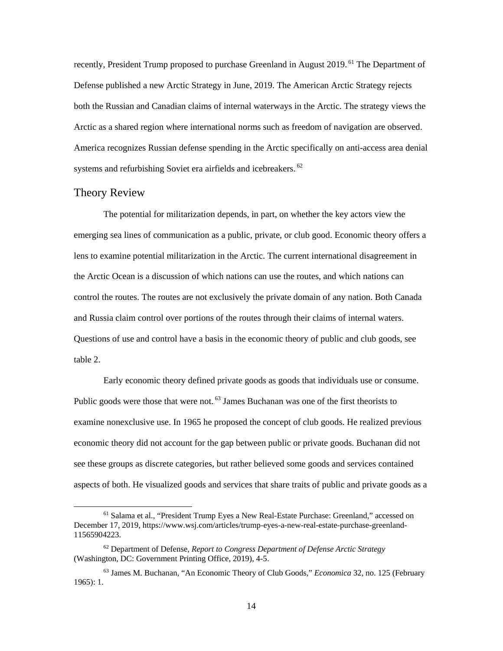recently, President Trump proposed to purchase Greenland in August 2019.<sup>61</sup> The Department of Defense published a new Arctic Strategy in June, 2019. The American Arctic Strategy rejects both the Russian and Canadian claims of internal waterways in the Arctic. The strategy views the Arctic as a shared region where international norms such as freedom of navigation are observed. America recognizes Russian defense spending in the Arctic specifically on anti-access area denial systems and refurbishing Soviet era airfields and icebreakers.<sup>62</sup>

#### <span id="page-20-0"></span>Theory Review

The potential for militarization depends, in part, on whether the key actors view the emerging sea lines of communication as a public, private, or club good. Economic theory offers a lens to examine potential militarization in the Arctic. The current international disagreement in the Arctic Ocean is a discussion of which nations can use the routes, and which nations can control the routes. The routes are not exclusively the private domain of any nation. Both Canada and Russia claim control over portions of the routes through their claims of internal waters. Questions of use and control have a basis in the economic theory of public and club goods, see [table 2.](#page-22-0)

Early economic theory defined private goods as goods that individuals use or consume. Public goods were those that were not.<sup>63</sup> James Buchanan was one of the first theorists to examine nonexclusive use. In 1965 he proposed the concept of club goods. He realized previous economic theory did not account for the gap between public or private goods. Buchanan did not see these groups as discrete categories, but rather believed some goods and services contained aspects of both. He visualized goods and services that share traits of public and private goods as a

 <sup>61</sup> Salama et al., "President Trump Eyes a New Real-Estate Purchase: Greenland," accessed on December 17, 2019, https://www.wsj.com/articles/trump-eyes-a-new-real-estate-purchase-greenland-11565904223.

<sup>62</sup> Department of Defense, *Report to Congress Department of Defense Arctic Strategy* (Washington, DC: Government Printing Office, 2019), 4-5.

<sup>63</sup> James M. Buchanan, "An Economic Theory of Club Goods," *Economica* 32, no. 125 (February 1965): 1.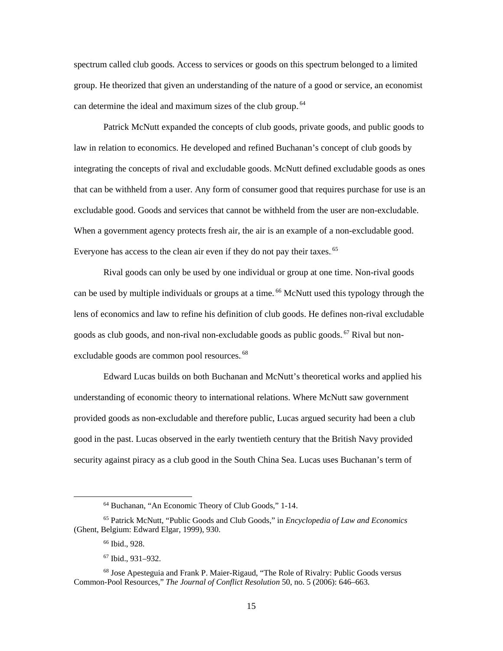spectrum called club goods. Access to services or goods on this spectrum belonged to a limited group. He theorized that given an understanding of the nature of a good or service, an economist can determine the ideal and maximum sizes of the club group.<sup>64</sup>

Patrick McNutt expanded the concepts of club goods, private goods, and public goods to law in relation to economics. He developed and refined Buchanan's concept of club goods by integrating the concepts of rival and excludable goods. McNutt defined excludable goods as ones that can be withheld from a user. Any form of consumer good that requires purchase for use is an excludable good. Goods and services that cannot be withheld from the user are non-excludable. When a government agency protects fresh air, the air is an example of a non-excludable good. Everyone has access to the clean air even if they do not pay their taxes.<sup>65</sup>

Rival goods can only be used by one individual or group at one time. Non-rival goods can be used by multiple individuals or groups at a time.<sup>66</sup> McNutt used this typology through the lens of economics and law to refine his definition of club goods. He defines non-rival excludable goods as club goods, and non-rival non-excludable goods as public goods.<sup>67</sup> Rival but nonexcludable goods are common pool resources.<sup>68</sup>

Edward Lucas builds on both Buchanan and McNutt's theoretical works and applied his understanding of economic theory to international relations. Where McNutt saw government provided goods as non-excludable and therefore public, Lucas argued security had been a club good in the past. Lucas observed in the early twentieth century that the British Navy provided security against piracy as a club good in the South China Sea. Lucas uses Buchanan's term of

 <sup>64</sup> Buchanan, "An Economic Theory of Club Goods," 1-14.

<sup>65</sup> Patrick McNutt, "Public Goods and Club Goods," in *Encyclopedia of Law and Economics* (Ghent, Belgium: Edward Elgar, 1999), 930.

<sup>66</sup> Ibid., 928.

<sup>67</sup> Ibid., 931–932.

<sup>68</sup> Jose Apesteguia and Frank P. Maier-Rigaud, "The Role of Rivalry: Public Goods versus Common-Pool Resources," *The Journal of Conflict Resolution* 50, no. 5 (2006): 646–663.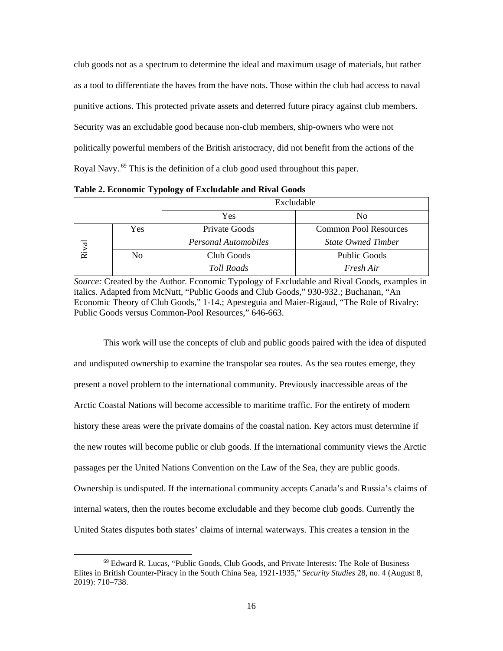club goods not as a spectrum to determine the ideal and maximum usage of materials, but rather as a tool to differentiate the haves from the have nots. Those within the club had access to naval punitive actions. This protected private assets and deterred future piracy against club members. Security was an excludable good because non-club members, ship-owners who were not politically powerful members of the British aristocracy, did not benefit from the actions of the Royal Navy.<sup>69</sup> This is the definition of a club good used throughout this paper.

|       |     | Excludable            |                              |  |
|-------|-----|-----------------------|------------------------------|--|
|       |     | Yes<br>N <sub>0</sub> |                              |  |
|       | Yes | Private Goods         | <b>Common Pool Resources</b> |  |
|       |     | Personal Automobiles  | <b>State Owned Timber</b>    |  |
| Rival | No  | Club Goods            | <b>Public Goods</b>          |  |
|       |     | <b>Toll Roads</b>     | Fresh Air                    |  |

<span id="page-22-0"></span>**Table 2. Economic Typology of Excludable and Rival Goods**

*Source:* Created by the Author. Economic Typology of Excludable and Rival Goods, examples in italics. Adapted from McNutt, "Public Goods and Club Goods," 930-932.; Buchanan, "An Economic Theory of Club Goods," 1-14.; Apesteguia and Maier-Rigaud, "The Role of Rivalry: Public Goods versus Common-Pool Resources," 646-663.

This work will use the concepts of club and public goods paired with the idea of disputed and undisputed ownership to examine the transpolar sea routes. As the sea routes emerge, they present a novel problem to the international community. Previously inaccessible areas of the Arctic Coastal Nations will become accessible to maritime traffic. For the entirety of modern history these areas were the private domains of the coastal nation. Key actors must determine if the new routes will become public or club goods. If the international community views the Arctic passages per the United Nations Convention on the Law of the Sea, they are public goods. Ownership is undisputed. If the international community accepts Canada's and Russia's claims of internal waters, then the routes become excludable and they become club goods. Currently the United States disputes both states' claims of internal waterways. This creates a tension in the

 <sup>69</sup> Edward R. Lucas, "Public Goods, Club Goods, and Private Interests: The Role of Business Elites in British Counter-Piracy in the South China Sea, 1921-1935," *Security Studies* 28, no. 4 (August 8, 2019): 710–738.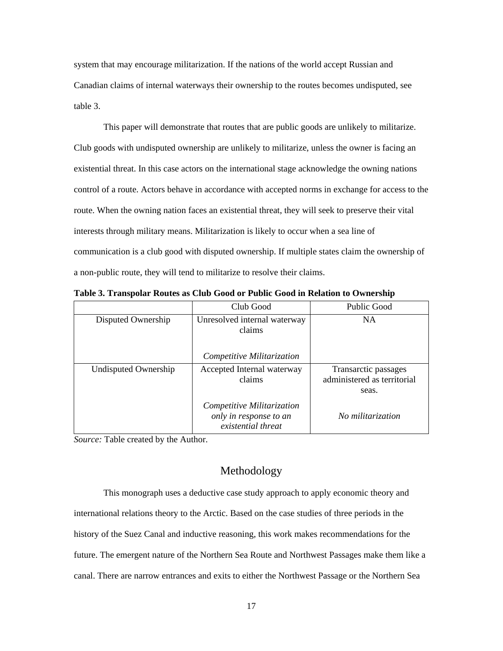system that may encourage militarization. If the nations of the world accept Russian and Canadian claims of internal waterways their ownership to the routes becomes undisputed, see [table 3.](#page-23-1)

This paper will demonstrate that routes that are public goods are unlikely to militarize. Club goods with undisputed ownership are unlikely to militarize, unless the owner is facing an existential threat. In this case actors on the international stage acknowledge the owning nations control of a route. Actors behave in accordance with accepted norms in exchange for access to the route. When the owning nation faces an existential threat, they will seek to preserve their vital interests through military means. Militarization is likely to occur when a sea line of communication is a club good with disputed ownership. If multiple states claim the ownership of a non-public route, they will tend to militarize to resolve their claims.

|                                                              | Club Good                                                                  | Public Good                                                  |
|--------------------------------------------------------------|----------------------------------------------------------------------------|--------------------------------------------------------------|
| Disputed Ownership                                           | Unresolved internal waterway<br>claims                                     | <b>NA</b>                                                    |
|                                                              | Competitive Militarization                                                 |                                                              |
| Undisputed Ownership<br>Accepted Internal waterway<br>claims |                                                                            | Transarctic passages<br>administered as territorial<br>seas. |
|                                                              | Competitive Militarization<br>only in response to an<br>existential threat | No militarization                                            |

<span id="page-23-1"></span>**Table 3. Transpolar Routes as Club Good or Public Good in Relation to Ownership**

*Source:* Table created by the Author.

#### Methodology

<span id="page-23-0"></span>This monograph uses a deductive case study approach to apply economic theory and international relations theory to the Arctic. Based on the case studies of three periods in the history of the Suez Canal and inductive reasoning, this work makes recommendations for the future. The emergent nature of the Northern Sea Route and Northwest Passages make them like a canal. There are narrow entrances and exits to either the Northwest Passage or the Northern Sea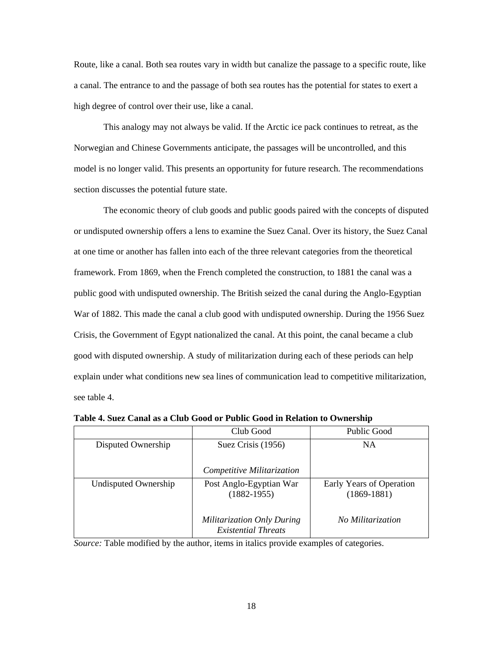Route, like a canal. Both sea routes vary in width but canalize the passage to a specific route, like a canal. The entrance to and the passage of both sea routes has the potential for states to exert a high degree of control over their use, like a canal.

This analogy may not always be valid. If the Arctic ice pack continues to retreat, as the Norwegian and Chinese Governments anticipate, the passages will be uncontrolled, and this model is no longer valid. This presents an opportunity for future research. The recommendations section discusses the potential future state.

The economic theory of club goods and public goods paired with the concepts of disputed or undisputed ownership offers a lens to examine the Suez Canal. Over its history, the Suez Canal at one time or another has fallen into each of the three relevant categories from the theoretical framework. From 1869, when the French completed the construction, to 1881 the canal was a public good with undisputed ownership. The British seized the canal during the Anglo-Egyptian War of 1882. This made the canal a club good with undisputed ownership. During the 1956 Suez Crisis, the Government of Egypt nationalized the canal. At this point, the canal became a club good with disputed ownership. A study of militarization during each of these periods can help explain under what conditions new sea lines of communication lead to competitive militarization, see [table 4.](#page-24-0)

|                      | Club Good                                                       | Public Good                               |
|----------------------|-----------------------------------------------------------------|-------------------------------------------|
| Disputed Ownership   | Suez Crisis (1956)                                              |                                           |
|                      | Competitive Militarization                                      |                                           |
| Undisputed Ownership | Post Anglo-Egyptian War<br>$(1882 - 1955)$                      | Early Years of Operation<br>$(1869-1881)$ |
|                      | <b>Militarization Only During</b><br><b>Existential Threats</b> | No Militarization                         |

<span id="page-24-0"></span>**Table 4. Suez Canal as a Club Good or Public Good in Relation to Ownership**

*Source:* Table modified by the author, items in italics provide examples of categories.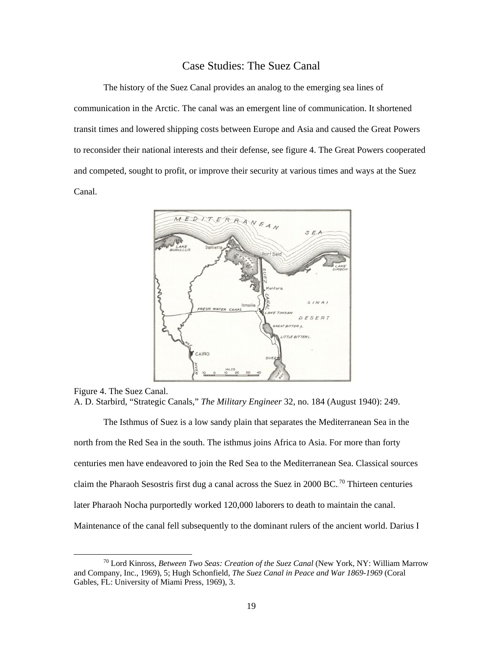#### Case Studies: The Suez Canal

<span id="page-25-0"></span>The history of the Suez Canal provides an analog to the emerging sea lines of communication in the Arctic. The canal was an emergent line of communication. It shortened transit times and lowered shipping costs between Europe and Asia and caused the Great Powers to reconsider their national interests and their defense, see [figure 4.](#page-25-1) The Great Powers cooperated and competed, sought to profit, or improve their security at various times and ways at the Suez Canal.



<span id="page-25-1"></span>Figure 4. The Suez Canal. A. D. Starbird, "Strategic Canals," *The Military Engineer* 32, no. 184 (August 1940): 249.

The Isthmus of Suez is a low sandy plain that separates the Mediterranean Sea in the north from the Red Sea in the south. The isthmus joins Africa to Asia. For more than forty centuries men have endeavored to join the Red Sea to the Mediterranean Sea. Classical sources claim the Pharaoh Sesostris first dug a canal across the Suez in 2000 BC.<sup>70</sup> Thirteen centuries later Pharaoh Nocha purportedly worked 120,000 laborers to death to maintain the canal. Maintenance of the canal fell subsequently to the dominant rulers of the ancient world. Darius I

 <sup>70</sup> Lord Kinross, *Between Two Seas: Creation of the Suez Canal* (New York, NY: William Marrow and Company, Inc., 1969), 5; Hugh Schonfield, *The Suez Canal in Peace and War 1869-1969* (Coral Gables, FL: University of Miami Press, 1969), 3.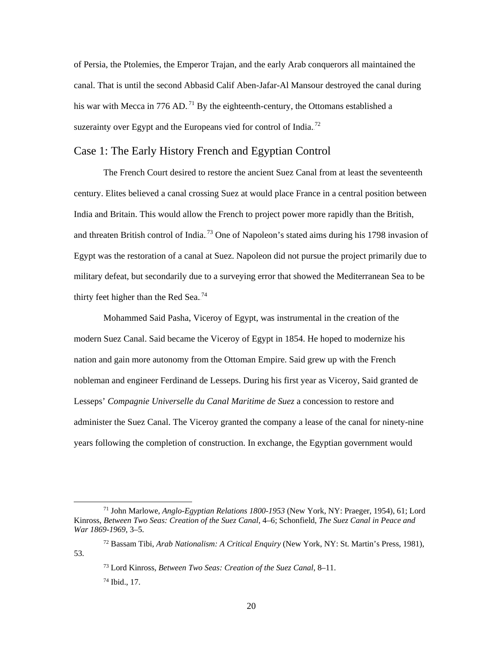of Persia, the Ptolemies, the Emperor Trajan, and the early Arab conquerors all maintained the canal. That is until the second Abbasid Calif Aben-Jafar-Al Mansour destroyed the canal during his war with Mecca in 776 AD.<sup>71</sup> By the eighteenth-century, the Ottomans established a suzerainty over Egypt and the Europeans vied for control of India.<sup>72</sup>

#### <span id="page-26-0"></span>Case 1: The Early History French and Egyptian Control

The French Court desired to restore the ancient Suez Canal from at least the seventeenth century. Elites believed a canal crossing Suez at would place France in a central position between India and Britain. This would allow the French to project power more rapidly than the British, and threaten British control of India.<sup>73</sup> One of Napoleon's stated aims during his 1798 invasion of Egypt was the restoration of a canal at Suez. Napoleon did not pursue the project primarily due to military defeat, but secondarily due to a surveying error that showed the Mediterranean Sea to be thirty feet higher than the Red Sea. $^{74}$ 

Mohammed Said Pasha, Viceroy of Egypt, was instrumental in the creation of the modern Suez Canal. Said became the Viceroy of Egypt in 1854. He hoped to modernize his nation and gain more autonomy from the Ottoman Empire. Said grew up with the French nobleman and engineer Ferdinand de Lesseps. During his first year as Viceroy, Said granted de Lesseps' *Compagnie Universelle du Canal Maritime de Suez* a concession to restore and administer the Suez Canal. The Viceroy granted the company a lease of the canal for ninety-nine years following the completion of construction. In exchange, the Egyptian government would

 <sup>71</sup> John Marlowe, *Anglo-Egyptian Relations 1800-1953* (New York, NY: Praeger, 1954), 61; Lord Kinross, *Between Two Seas: Creation of the Suez Canal*, 4–6; Schonfield, *The Suez Canal in Peace and War 1869-1969*, 3–5.

<sup>72</sup> Bassam Tibi, *Arab Nationalism: A Critical Enquiry* (New York, NY: St. Martin's Press, 1981), 53.

<sup>73</sup> Lord Kinross, *Between Two Seas: Creation of the Suez Canal*, 8–11.

<sup>74</sup> Ibid., 17.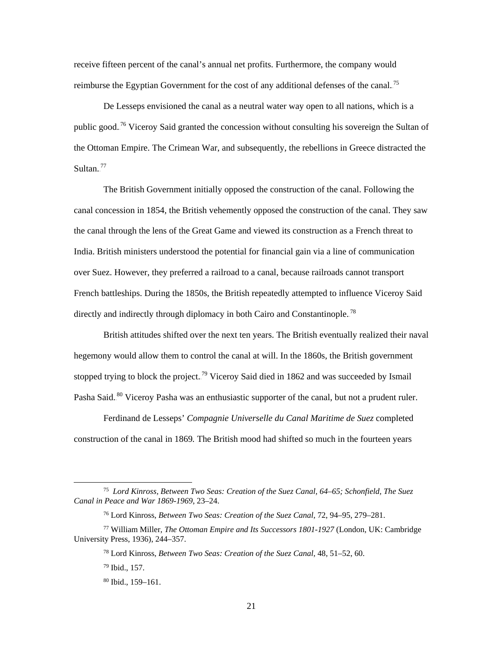receive fifteen percent of the canal's annual net profits. Furthermore, the company would reimburse the Egyptian Government for the cost of any additional defenses of the canal.<sup>75</sup>

De Lesseps envisioned the canal as a neutral water way open to all nations, which is a public good.<sup>76</sup> Viceroy Said granted the concession without consulting his sovereign the Sultan of the Ottoman Empire. The Crimean War, and subsequently, the rebellions in Greece distracted the Sultan. $^{77}$ 

The British Government initially opposed the construction of the canal. Following the canal concession in 1854, the British vehemently opposed the construction of the canal. They saw the canal through the lens of the Great Game and viewed its construction as a French threat to India. British ministers understood the potential for financial gain via a line of communication over Suez. However, they preferred a railroad to a canal, because railroads cannot transport French battleships. During the 1850s, the British repeatedly attempted to influence Viceroy Said directly and indirectly through diplomacy in both Cairo and Constantinople.<sup>78</sup>

British attitudes shifted over the next ten years. The British eventually realized their naval hegemony would allow them to control the canal at will. In the 1860s, the British government stopped trying to block the project.<sup>79</sup> Viceroy Said died in 1862 and was succeeded by Ismail Pasha Said.<sup>80</sup> Viceroy Pasha was an enthusiastic supporter of the canal, but not a prudent ruler.

Ferdinand de Lesseps' *Compagnie Universelle du Canal Maritime de Suez* completed construction of the canal in 1869*.* The British mood had shifted so much in the fourteen years

 <sup>75</sup> *Lord Kinross, Between Two Seas: Creation of the Suez Canal, 64–65; Schonfield, The Suez Canal in Peace and War 1869-1969*, 23–24.

<sup>76</sup> Lord Kinross, *Between Two Seas: Creation of the Suez Canal*, 72, 94–95, 279–281.

<sup>77</sup> William Miller, *The Ottoman Empire and Its Successors 1801-1927* (London, UK: Cambridge University Press, 1936), 244–357.

<sup>78</sup> Lord Kinross, *Between Two Seas: Creation of the Suez Canal*, 48, 51–52, 60.

<sup>79</sup> Ibid., 157.

<sup>80</sup> Ibid., 159–161.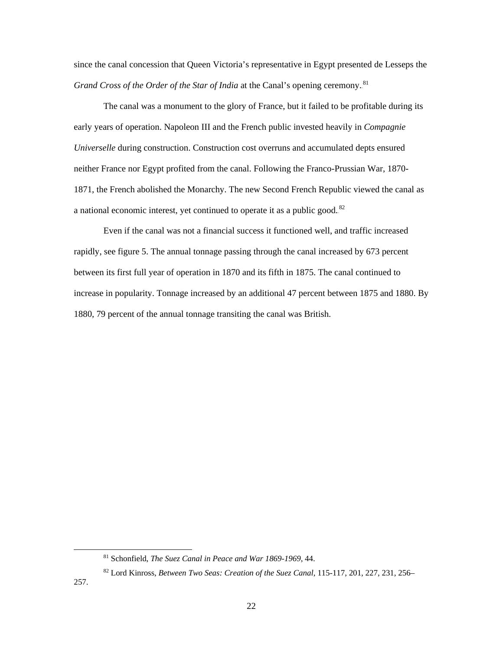since the canal concession that Queen Victoria's representative in Egypt presented de Lesseps the *Grand Cross of the Order of the Star of India* at the Canal's opening ceremony.<sup>81</sup>

The canal was a monument to the glory of France, but it failed to be profitable during its early years of operation. Napoleon III and the French public invested heavily in *Compagnie Universelle* during construction. Construction cost overruns and accumulated depts ensured neither France nor Egypt profited from the canal. Following the Franco-Prussian War, 1870- 1871, the French abolished the Monarchy. The new Second French Republic viewed the canal as a national economic interest, yet continued to operate it as a public good. $82$ 

Even if the canal was not a financial success it functioned well, and traffic increased rapidly, see [figure 5.](#page-29-0) The annual tonnage passing through the canal increased by 673 percent between its first full year of operation in 1870 and its fifth in 1875. The canal continued to increase in popularity. Tonnage increased by an additional 47 percent between 1875 and 1880. By 1880, 79 percent of the annual tonnage transiting the canal was British.

 <sup>81</sup> Schonfield, *The Suez Canal in Peace and War 1869-1969*, 44.

<sup>82</sup> Lord Kinross, *Between Two Seas: Creation of the Suez Canal*, 115-117, 201, 227, 231, 256–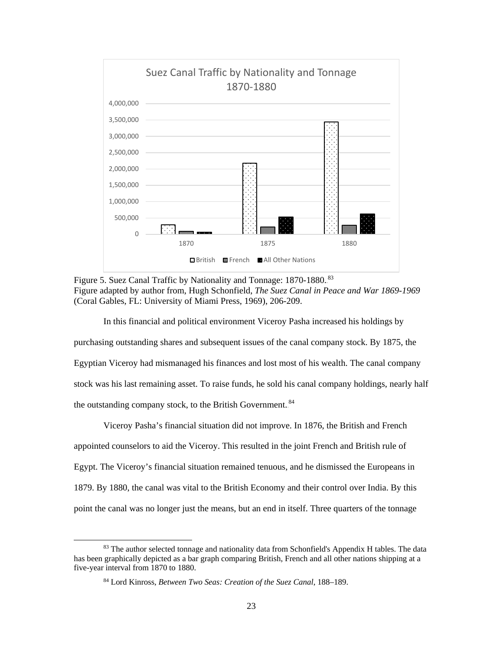

<span id="page-29-0"></span>Figure 5. Suez Canal Traffic by Nationality and Tonnage: 1870-1880.<sup>83</sup> Figure adapted by author from, Hugh Schonfield, *The Suez Canal in Peace and War 1869-1969* (Coral Gables, FL: University of Miami Press, 1969), 206-209.

In this financial and political environment Viceroy Pasha increased his holdings by purchasing outstanding shares and subsequent issues of the canal company stock. By 1875, the Egyptian Viceroy had mismanaged his finances and lost most of his wealth. The canal company stock was his last remaining asset. To raise funds, he sold his canal company holdings, nearly half the outstanding company stock, to the British Government.<sup>84</sup>

Viceroy Pasha's financial situation did not improve. In 1876, the British and French appointed counselors to aid the Viceroy. This resulted in the joint French and British rule of Egypt. The Viceroy's financial situation remained tenuous, and he dismissed the Europeans in 1879. By 1880, the canal was vital to the British Economy and their control over India. By this point the canal was no longer just the means, but an end in itself. Three quarters of the tonnage

<sup>&</sup>lt;sup>83</sup> The author selected tonnage and nationality data from Schonfield's Appendix H tables. The data has been graphically depicted as a bar graph comparing British, French and all other nations shipping at a five-year interval from 1870 to 1880.

<sup>84</sup> Lord Kinross, *Between Two Seas: Creation of the Suez Canal*, 188–189.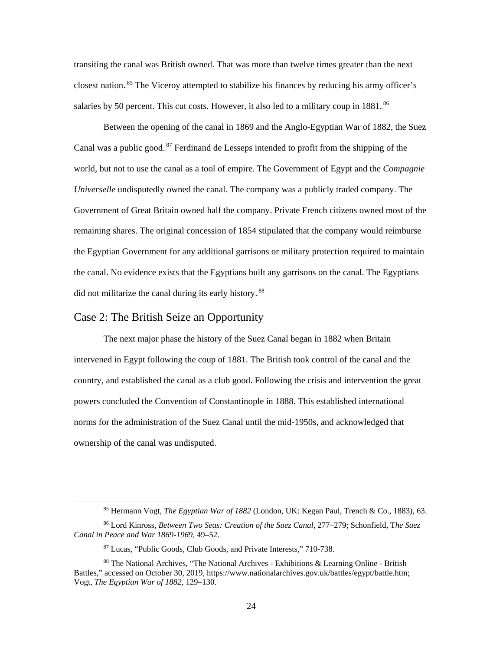transiting the canal was British owned. That was more than twelve times greater than the next closest nation.<sup>85</sup> The Viceroy attempted to stabilize his finances by reducing his army officer's salaries by 50 percent. This cut costs. However, it also led to a military coup in 1881.<sup>86</sup>

Between the opening of the canal in 1869 and the Anglo-Egyptian War of 1882, the Suez Canal was a public good.<sup>87</sup> Ferdinand de Lesseps intended to profit from the shipping of the world, but not to use the canal as a tool of empire. The Government of Egypt and the *Compagnie Universelle* undisputedly owned the canal*.* The company was a publicly traded company. The Government of Great Britain owned half the company. Private French citizens owned most of the remaining shares. The original concession of 1854 stipulated that the company would reimburse the Egyptian Government for any additional garrisons or military protection required to maintain the canal. No evidence exists that the Egyptians built any garrisons on the canal. The Egyptians did not militarize the canal during its early history.<sup>88</sup>

#### <span id="page-30-0"></span>Case 2: The British Seize an Opportunity

The next major phase the history of the Suez Canal began in 1882 when Britain intervened in Egypt following the coup of 1881. The British took control of the canal and the country, and established the canal as a club good. Following the crisis and intervention the great powers concluded the Convention of Constantinople in 1888. This established international norms for the administration of the Suez Canal until the mid-1950s, and acknowledged that ownership of the canal was undisputed.

 <sup>85</sup> Hermann Vogt, *The Egyptian War of 1882* (London, UK: Kegan Paul, Trench & Co., 1883), 63.

<sup>86</sup> Lord Kinross, *Between Two Seas: Creation of the Suez Canal*, 277–279; Schonfield, T*he Suez Canal in Peace and War 1869-1969*, 49–52.

<sup>87</sup> Lucas, "Public Goods, Club Goods, and Private Interests," 710-738.

<sup>88</sup> The National Archives, "The National Archives - Exhibitions & Learning Online - British Battles," accessed on October 30, 2019, https://www.nationalarchives.gov.uk/battles/egypt/battle.htm; Vogt, *The Egyptian War of 1882*, 129–130.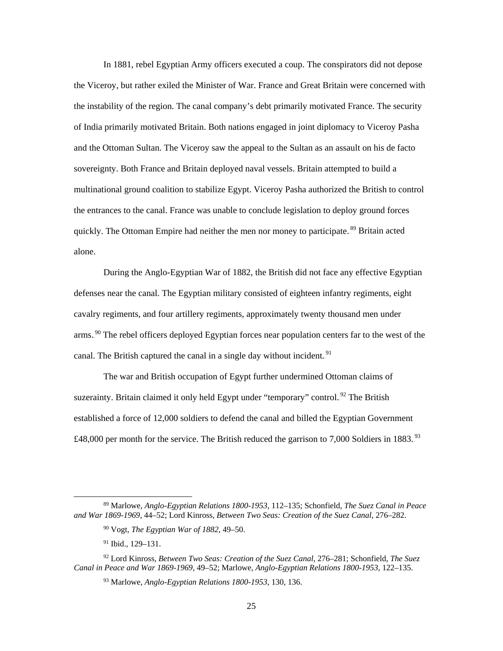In 1881, rebel Egyptian Army officers executed a coup. The conspirators did not depose the Viceroy, but rather exiled the Minister of War. France and Great Britain were concerned with the instability of the region. The canal company's debt primarily motivated France. The security of India primarily motivated Britain. Both nations engaged in joint diplomacy to Viceroy Pasha and the Ottoman Sultan. The Viceroy saw the appeal to the Sultan as an assault on his de facto sovereignty. Both France and Britain deployed naval vessels. Britain attempted to build a multinational ground coalition to stabilize Egypt. Viceroy Pasha authorized the British to control the entrances to the canal. France was unable to conclude legislation to deploy ground forces quickly. The Ottoman Empire had neither the men nor money to participate.<sup>89</sup> Britain acted alone.

During the Anglo-Egyptian War of 1882, the British did not face any effective Egyptian defenses near the canal. The Egyptian military consisted of eighteen infantry regiments, eight cavalry regiments, and four artillery regiments, approximately twenty thousand men under arms.<sup>90</sup> The rebel officers deployed Egyptian forces near population centers far to the west of the canal. The British captured the canal in a single day without incident.<sup>91</sup>

The war and British occupation of Egypt further undermined Ottoman claims of suzerainty. Britain claimed it only held Egypt under "temporary" control.<sup>92</sup> The British established a force of 12,000 soldiers to defend the canal and billed the Egyptian Government £48,000 per month for the service. The British reduced the garrison to 7,000 Soldiers in 1883.<sup>93</sup>

 <sup>89</sup> Marlowe, *Anglo-Egyptian Relations 1800-1953*, 112–135; Schonfield, *The Suez Canal in Peace and War 1869-1969*, 44–52; Lord Kinross, *Between Two Seas: Creation of the Suez Canal*, 276–282.

<sup>90</sup> Vogt, *The Egyptian War of 1882*, 49–50.

<sup>91</sup> Ibid., 129–131.

<sup>92</sup> Lord Kinross, *Between Two Seas: Creation of the Suez Canal*, 276–281; Schonfield, *The Suez Canal in Peace and War 1869-1969*, 49–52; Marlowe, *Anglo-Egyptian Relations 1800-1953*, 122–135.

<sup>93</sup> Marlowe, *Anglo-Egyptian Relations 1800-1953*, 130, 136.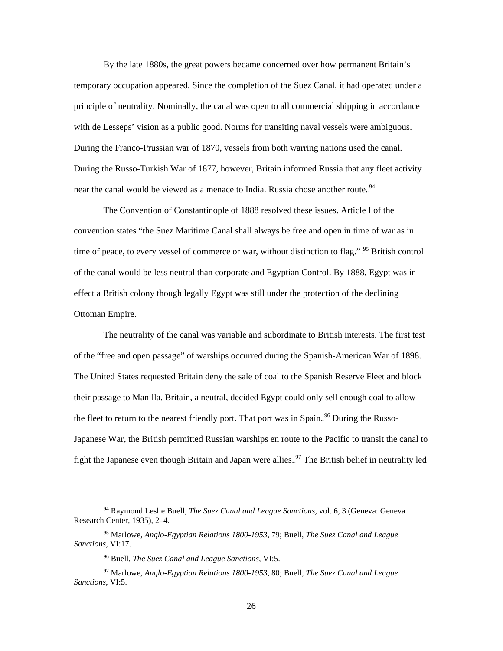By the late 1880s, the great powers became concerned over how permanent Britain's temporary occupation appeared. Since the completion of the Suez Canal, it had operated under a principle of neutrality. Nominally, the canal was open to all commercial shipping in accordance with de Lesseps' vision as a public good. Norms for transiting naval vessels were ambiguous. During the Franco-Prussian war of 1870, vessels from both warring nations used the canal. During the Russo-Turkish War of 1877, however, Britain informed Russia that any fleet activity near the canal would be viewed as a menace to India. Russia chose another route.<sup>94</sup>

The Convention of Constantinople of 1888 resolved these issues. Article I of the convention states "the Suez Maritime Canal shall always be free and open in time of war as in time of peace, to every vessel of commerce or war, without distinction to flag." <sup>95</sup> British control of the canal would be less neutral than corporate and Egyptian Control. By 1888, Egypt was in effect a British colony though legally Egypt was still under the protection of the declining Ottoman Empire.

The neutrality of the canal was variable and subordinate to British interests. The first test of the "free and open passage" of warships occurred during the Spanish-American War of 1898. The United States requested Britain deny the sale of coal to the Spanish Reserve Fleet and block their passage to Manilla. Britain, a neutral, decided Egypt could only sell enough coal to allow the fleet to return to the nearest friendly port. That port was in Spain.<sup>96</sup> During the Russo-Japanese War, the British permitted Russian warships en route to the Pacific to transit the canal to fight the Japanese even though Britain and Japan were allies.<sup>97</sup> The British belief in neutrality led

 <sup>94</sup> Raymond Leslie Buell, *The Suez Canal and League Sanctions*, vol. 6, 3 (Geneva: Geneva Research Center, 1935), 2–4.

<sup>95</sup> Marlowe, *Anglo-Egyptian Relations 1800-1953*, 79; Buell, *The Suez Canal and League Sanctions*, VI:17.

<sup>96</sup> Buell, *The Suez Canal and League Sanctions*, VI:5.

<sup>97</sup> Marlowe, *Anglo-Egyptian Relations 1800-1953*, 80; Buell, *The Suez Canal and League Sanctions*, VI:5.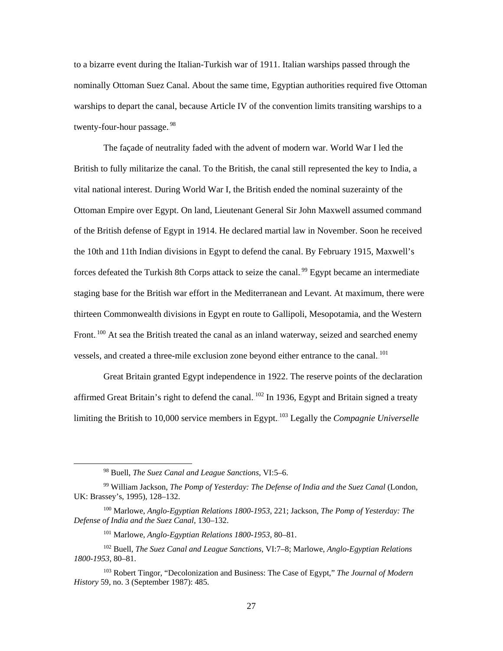to a bizarre event during the Italian-Turkish war of 1911. Italian warships passed through the nominally Ottoman Suez Canal. About the same time, Egyptian authorities required five Ottoman warships to depart the canal, because Article IV of the convention limits transiting warships to a twenty-four-hour passage..<sup>98</sup>

The façade of neutrality faded with the advent of modern war. World War I led the British to fully militarize the canal. To the British, the canal still represented the key to India, a vital national interest. During World War I, the British ended the nominal suzerainty of the Ottoman Empire over Egypt. On land, Lieutenant General Sir John Maxwell assumed command of the British defense of Egypt in 1914. He declared martial law in November. Soon he received the 10th and 11th Indian divisions in Egypt to defend the canal. By February 1915, Maxwell's forces defeated the Turkish 8th Corps attack to seize the canal.<sup>99</sup> Egypt became an intermediate staging base for the British war effort in the Mediterranean and Levant. At maximum, there were thirteen Commonwealth divisions in Egypt en route to Gallipoli, Mesopotamia, and the Western Front.<sup>100</sup> At sea the British treated the canal as an inland waterway, seized and searched enemy vessels, and created a three-mile exclusion zone beyond either entrance to the canal.<sup>101</sup>

Great Britain granted Egypt independence in 1922. The reserve points of the declaration affirmed Great Britain's right to defend the canal.  $102$  In 1936, Egypt and Britain signed a treaty limiting the British to 10,000 service members in Egypt.<sup>103</sup> Legally the *Compagnie Universelle* 

<sup>101</sup> Marlowe, *Anglo-Egyptian Relations 1800-1953*, 80–81.

 <sup>98</sup> Buell, *The Suez Canal and League Sanctions*, VI:5–6.

<sup>99</sup> William Jackson, *The Pomp of Yesterday: The Defense of India and the Suez Canal* (London, UK: Brassey's, 1995), 128–132.

<sup>100</sup> Marlowe, *Anglo-Egyptian Relations 1800-1953*, 221; Jackson, *The Pomp of Yesterday: The Defense of India and the Suez Canal*, 130–132.

<sup>102</sup> Buell, *The Suez Canal and League Sanctions*, VI:7–8; Marlowe, *Anglo-Egyptian Relations 1800-1953*, 80–81.

<sup>103</sup> Robert Tingor, "Decolonization and Business: The Case of Egypt," *The Journal of Modern History* 59, no. 3 (September 1987): 485.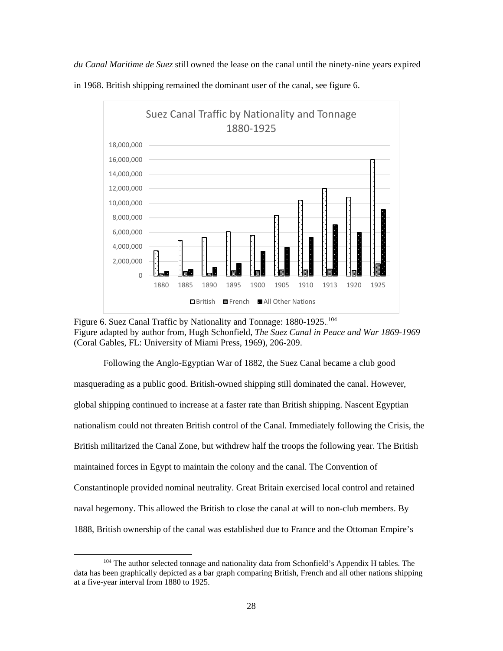*du Canal Maritime de Suez* still owned the lease on the canal until the ninety-nine years expired in 1968. British shipping remained the dominant user of the canal, see [figure 6.](#page-34-0)



<span id="page-34-0"></span>Figure 6. Suez Canal Traffic by Nationality and Tonnage: 1880-1925.<sup>104</sup> Figure adapted by author from, Hugh Schonfield, *The Suez Canal in Peace and War 1869-1969* (Coral Gables, FL: University of Miami Press, 1969), 206-209.

Following the Anglo-Egyptian War of 1882, the Suez Canal became a club good masquerading as a public good. British-owned shipping still dominated the canal. However, global shipping continued to increase at a faster rate than British shipping. Nascent Egyptian nationalism could not threaten British control of the Canal. Immediately following the Crisis, the British militarized the Canal Zone, but withdrew half the troops the following year. The British maintained forces in Egypt to maintain the colony and the canal. The Convention of Constantinople provided nominal neutrality. Great Britain exercised local control and retained naval hegemony. This allowed the British to close the canal at will to non-club members. By 1888, British ownership of the canal was established due to France and the Ottoman Empire's

<sup>&</sup>lt;sup>104</sup> The author selected tonnage and nationality data from Schonfield's Appendix H tables. The data has been graphically depicted as a bar graph comparing British, French and all other nations shipping at a five-year interval from 1880 to 1925.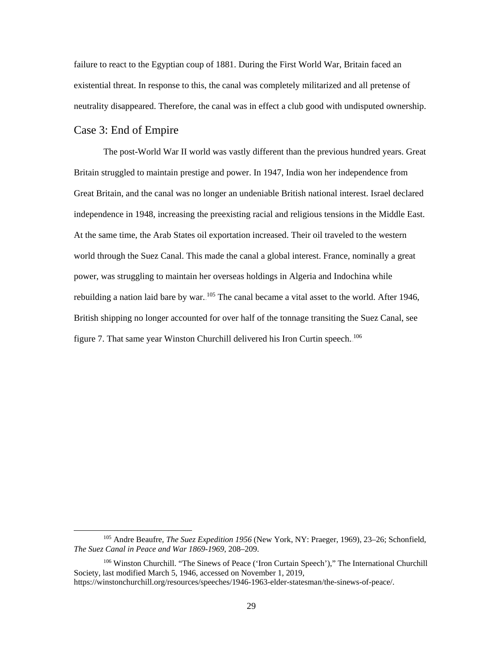failure to react to the Egyptian coup of 1881. During the First World War, Britain faced an existential threat. In response to this, the canal was completely militarized and all pretense of neutrality disappeared. Therefore, the canal was in effect a club good with undisputed ownership.

#### <span id="page-35-0"></span>Case 3: End of Empire

The post-World War II world was vastly different than the previous hundred years. Great Britain struggled to maintain prestige and power. In 1947, India won her independence from Great Britain, and the canal was no longer an undeniable British national interest. Israel declared independence in 1948, increasing the preexisting racial and religious tensions in the Middle East. At the same time, the Arab States oil exportation increased. Their oil traveled to the western world through the Suez Canal. This made the canal a global interest. France, nominally a great power, was struggling to maintain her overseas holdings in Algeria and Indochina while rebuilding a nation laid bare by war. <sup>105</sup> The canal became a vital asset to the world. After 1946, British shipping no longer accounted for over half of the tonnage transiting the Suez Canal, see [figure 7.](#page-36-0) That same year Winston Churchill delivered his Iron Curtin speech.<sup>106</sup>

 <sup>105</sup> Andre Beaufre, *The Suez Expedition 1956* (New York, NY: Praeger, 1969), 23–26; Schonfield, *The Suez Canal in Peace and War 1869-1969*, 208–209.

<sup>106</sup> Winston Churchill. "The Sinews of Peace ('Iron Curtain Speech')," The International Churchill Society, last modified March 5, 1946, accessed on November 1, 2019, https://winstonchurchill.org/resources/speeches/1946-1963-elder-statesman/the-sinews-of-peace/.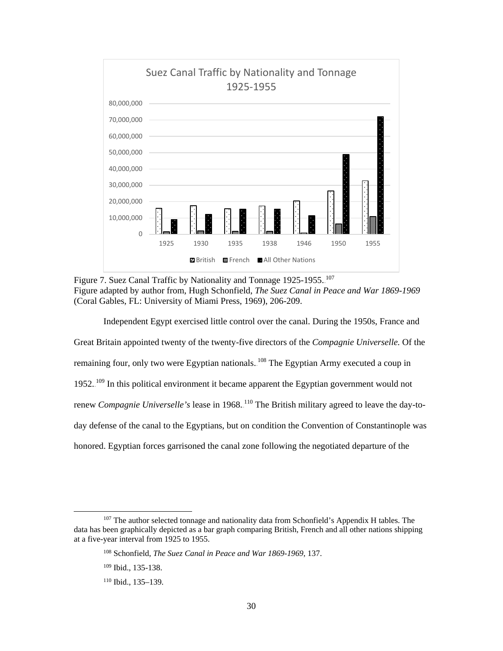

<span id="page-36-0"></span>Figure 7. Suez Canal Traffic by Nationality and Tonnage 1925-1955. <sup>107</sup> Figure adapted by author from, Hugh Schonfield, *The Suez Canal in Peace and War 1869-1969* (Coral Gables, FL: University of Miami Press, 1969), 206-209.

Independent Egypt exercised little control over the canal. During the 1950s, France and Great Britain appointed twenty of the twenty-five directors of the *Compagnie Universelle.* Of the remaining four, only two were Egyptian nationals. <sup>108</sup> The Egyptian Army executed a coup in 1952.<sup>109</sup> In this political environment it became apparent the Egyptian government would not renew *Compagnie Universelle's* lease in 1968. <sup>110</sup> The British military agreed to leave the day-today defense of the canal to the Egyptians, but on condition the Convention of Constantinople was honored. Egyptian forces garrisoned the canal zone following the negotiated departure of the

<sup>&</sup>lt;sup>107</sup> The author selected tonnage and nationality data from Schonfield's Appendix H tables. The data has been graphically depicted as a bar graph comparing British, French and all other nations shipping at a five-year interval from 1925 to 1955.

<sup>108</sup> Schonfield, *The Suez Canal in Peace and War 1869-1969*, 137.

<sup>109</sup> Ibid., 135-138.

<sup>110</sup> Ibid., 135–139.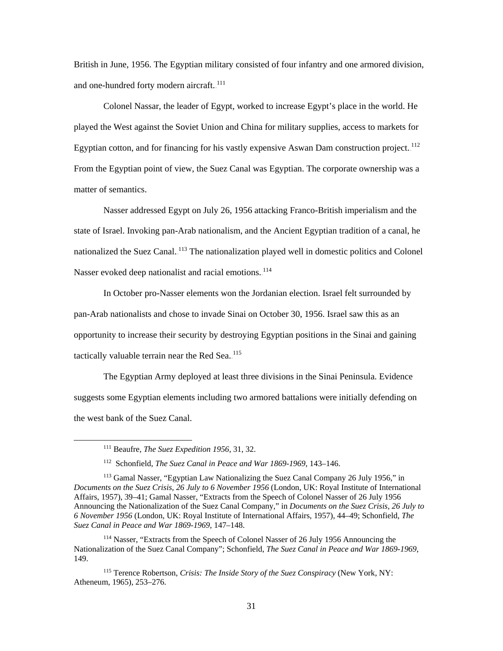British in June, 1956. The Egyptian military consisted of four infantry and one armored division, and one-hundred forty modern aircraft.<sup>111</sup>

Colonel Nassar, the leader of Egypt, worked to increase Egypt's place in the world. He played the West against the Soviet Union and China for military supplies, access to markets for Egyptian cotton, and for financing for his vastly expensive Aswan Dam construction project.<sup>112</sup> From the Egyptian point of view, the Suez Canal was Egyptian. The corporate ownership was a matter of semantics.

Nasser addressed Egypt on July 26, 1956 attacking Franco-British imperialism and the state of Israel. Invoking pan-Arab nationalism, and the Ancient Egyptian tradition of a canal, he nationalized the Suez Canal.<sup>113</sup> The nationalization played well in domestic politics and Colonel Nasser evoked deep nationalist and racial emotions.<sup>114</sup>

In October pro-Nasser elements won the Jordanian election. Israel felt surrounded by pan-Arab nationalists and chose to invade Sinai on October 30, 1956. Israel saw this as an opportunity to increase their security by destroying Egyptian positions in the Sinai and gaining tactically valuable terrain near the Red Sea. $^{115}$ 

The Egyptian Army deployed at least three divisions in the Sinai Peninsula. Evidence suggests some Egyptian elements including two armored battalions were initially defending on the west bank of the Suez Canal.

 <sup>111</sup> Beaufre, *The Suez Expedition 1956*, 31, 32.

<sup>112</sup> Schonfield, *The Suez Canal in Peace and War 1869-1969*, 143–146.

<sup>&</sup>lt;sup>113</sup> Gamal Nasser, "Egyptian Law Nationalizing the Suez Canal Company 26 July 1956," in *Documents on the Suez Crisis, 26 July to 6 November 1956* (London, UK: Royal Institute of International Affairs, 1957), 39–41; Gamal Nasser, "Extracts from the Speech of Colonel Nasser of 26 July 1956 Announcing the Nationalization of the Suez Canal Company," in *Documents on the Suez Crisis, 26 July to 6 November 1956* (London, UK: Royal Institute of International Affairs, 1957), 44–49; Schonfield, *The Suez Canal in Peace and War 1869-1969*, 147–148.

<sup>114</sup> Nasser, "Extracts from the Speech of Colonel Nasser of 26 July 1956 Announcing the Nationalization of the Suez Canal Company"; Schonfield, *The Suez Canal in Peace and War 1869-1969*, 149.

<sup>115</sup> Terence Robertson, *Crisis: The Inside Story of the Suez Conspiracy* (New York, NY: Atheneum, 1965), 253–276.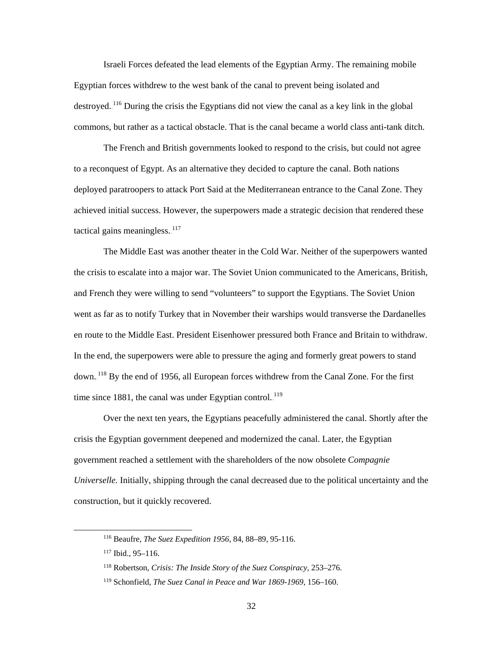Israeli Forces defeated the lead elements of the Egyptian Army. The remaining mobile Egyptian forces withdrew to the west bank of the canal to prevent being isolated and destroyed.<sup>116</sup> During the crisis the Egyptians did not view the canal as a key link in the global commons, but rather as a tactical obstacle. That is the canal became a world class anti-tank ditch.

The French and British governments looked to respond to the crisis, but could not agree to a reconquest of Egypt. As an alternative they decided to capture the canal. Both nations deployed paratroopers to attack Port Said at the Mediterranean entrance to the Canal Zone. They achieved initial success. However, the superpowers made a strategic decision that rendered these tactical gains meaningless. $117$ 

The Middle East was another theater in the Cold War. Neither of the superpowers wanted the crisis to escalate into a major war. The Soviet Union communicated to the Americans, British, and French they were willing to send "volunteers" to support the Egyptians. The Soviet Union went as far as to notify Turkey that in November their warships would transverse the Dardanelles en route to the Middle East. President Eisenhower pressured both France and Britain to withdraw. In the end, the superpowers were able to pressure the aging and formerly great powers to stand down.<sup>118</sup> By the end of 1956, all European forces withdrew from the Canal Zone. For the first time since 1881, the canal was under Egyptian control. $119$ 

Over the next ten years, the Egyptians peacefully administered the canal. Shortly after the crisis the Egyptian government deepened and modernized the canal. Later, the Egyptian government reached a settlement with the shareholders of the now obsolete *Compagnie Universelle.* Initially, shipping through the canal decreased due to the political uncertainty and the construction, but it quickly recovered.

 <sup>116</sup> Beaufre, *The Suez Expedition 1956*, 84, 88–89, 95-116.

 $117$  Ibid., 95–116.

<sup>118</sup> Robertson, *Crisis: The Inside Story of the Suez Conspiracy*, 253–276.

<sup>119</sup> Schonfield, *The Suez Canal in Peace and War 1869-1969*, 156–160.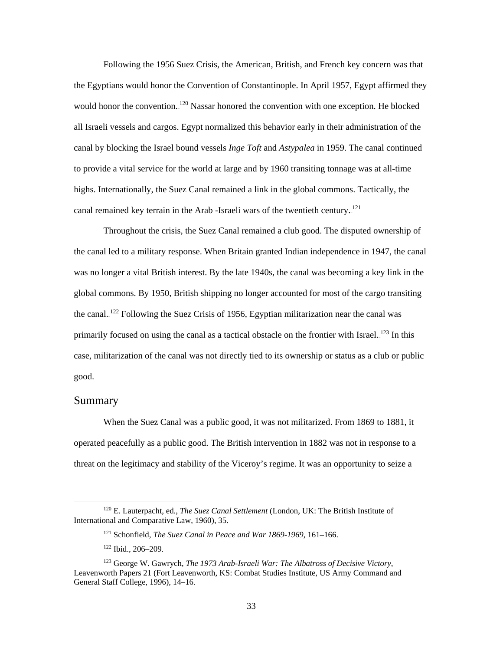Following the 1956 Suez Crisis, the American, British, and French key concern was that the Egyptians would honor the Convention of Constantinople. In April 1957, Egypt affirmed they would honor the convention.<sup>120</sup> Nassar honored the convention with one exception. He blocked all Israeli vessels and cargos. Egypt normalized this behavior early in their administration of the canal by blocking the Israel bound vessels *Inge Toft* and *Astypalea* in 1959. The canal continued to provide a vital service for the world at large and by 1960 transiting tonnage was at all-time highs. Internationally, the Suez Canal remained a link in the global commons. Tactically, the canal remained key terrain in the Arab -Israeli wars of the twentieth century.<sup>121</sup>

Throughout the crisis, the Suez Canal remained a club good. The disputed ownership of the canal led to a military response. When Britain granted Indian independence in 1947, the canal was no longer a vital British interest. By the late 1940s, the canal was becoming a key link in the global commons. By 1950, British shipping no longer accounted for most of the cargo transiting the canal.<sup>122</sup> Following the Suez Crisis of 1956, Egyptian militarization near the canal was primarily focused on using the canal as a tactical obstacle on the frontier with Israel.<sup>123</sup> In this case, militarization of the canal was not directly tied to its ownership or status as a club or public good.

#### <span id="page-39-0"></span>Summary

When the Suez Canal was a public good, it was not militarized. From 1869 to 1881, it operated peacefully as a public good. The British intervention in 1882 was not in response to a threat on the legitimacy and stability of the Viceroy's regime. It was an opportunity to seize a

 <sup>120</sup> E. Lauterpacht, ed., *The Suez Canal Settlement* (London, UK: The British Institute of International and Comparative Law, 1960), 35.

<sup>121</sup> Schonfield, *The Suez Canal in Peace and War 1869-1969*, 161–166.

<sup>122</sup> Ibid., 206–209.

<sup>123</sup> George W. Gawrych, *The 1973 Arab-Israeli War: The Albatross of Decisive Victory*, Leavenworth Papers 21 (Fort Leavenworth, KS: Combat Studies Institute, US Army Command and General Staff College, 1996), 14–16.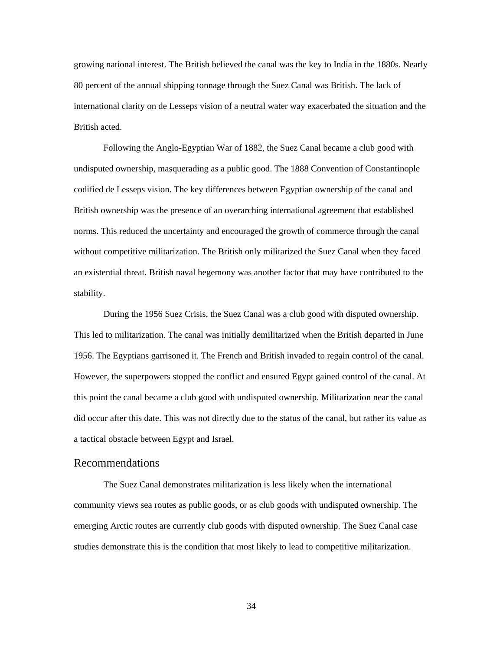growing national interest. The British believed the canal was the key to India in the 1880s. Nearly 80 percent of the annual shipping tonnage through the Suez Canal was British. The lack of international clarity on de Lesseps vision of a neutral water way exacerbated the situation and the British acted.

Following the Anglo-Egyptian War of 1882, the Suez Canal became a club good with undisputed ownership, masquerading as a public good. The 1888 Convention of Constantinople codified de Lesseps vision. The key differences between Egyptian ownership of the canal and British ownership was the presence of an overarching international agreement that established norms. This reduced the uncertainty and encouraged the growth of commerce through the canal without competitive militarization. The British only militarized the Suez Canal when they faced an existential threat. British naval hegemony was another factor that may have contributed to the stability.

During the 1956 Suez Crisis, the Suez Canal was a club good with disputed ownership. This led to militarization. The canal was initially demilitarized when the British departed in June 1956. The Egyptians garrisoned it. The French and British invaded to regain control of the canal. However, the superpowers stopped the conflict and ensured Egypt gained control of the canal. At this point the canal became a club good with undisputed ownership. Militarization near the canal did occur after this date. This was not directly due to the status of the canal, but rather its value as a tactical obstacle between Egypt and Israel.

#### <span id="page-40-0"></span>Recommendations

The Suez Canal demonstrates militarization is less likely when the international community views sea routes as public goods, or as club goods with undisputed ownership. The emerging Arctic routes are currently club goods with disputed ownership. The Suez Canal case studies demonstrate this is the condition that most likely to lead to competitive militarization.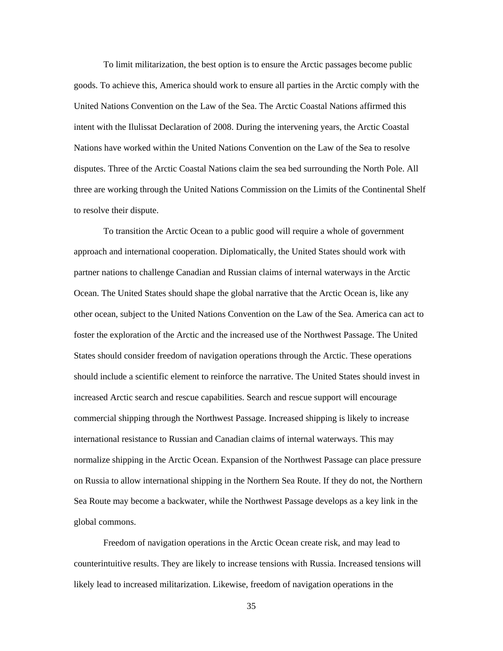To limit militarization, the best option is to ensure the Arctic passages become public goods. To achieve this, America should work to ensure all parties in the Arctic comply with the United Nations Convention on the Law of the Sea. The Arctic Coastal Nations affirmed this intent with the Ilulissat Declaration of 2008. During the intervening years, the Arctic Coastal Nations have worked within the United Nations Convention on the Law of the Sea to resolve disputes. Three of the Arctic Coastal Nations claim the sea bed surrounding the North Pole. All three are working through the United Nations Commission on the Limits of the Continental Shelf to resolve their dispute.

To transition the Arctic Ocean to a public good will require a whole of government approach and international cooperation. Diplomatically, the United States should work with partner nations to challenge Canadian and Russian claims of internal waterways in the Arctic Ocean. The United States should shape the global narrative that the Arctic Ocean is, like any other ocean, subject to the United Nations Convention on the Law of the Sea. America can act to foster the exploration of the Arctic and the increased use of the Northwest Passage. The United States should consider freedom of navigation operations through the Arctic. These operations should include a scientific element to reinforce the narrative. The United States should invest in increased Arctic search and rescue capabilities. Search and rescue support will encourage commercial shipping through the Northwest Passage. Increased shipping is likely to increase international resistance to Russian and Canadian claims of internal waterways. This may normalize shipping in the Arctic Ocean. Expansion of the Northwest Passage can place pressure on Russia to allow international shipping in the Northern Sea Route. If they do not, the Northern Sea Route may become a backwater, while the Northwest Passage develops as a key link in the global commons.

Freedom of navigation operations in the Arctic Ocean create risk, and may lead to counterintuitive results. They are likely to increase tensions with Russia. Increased tensions will likely lead to increased militarization. Likewise, freedom of navigation operations in the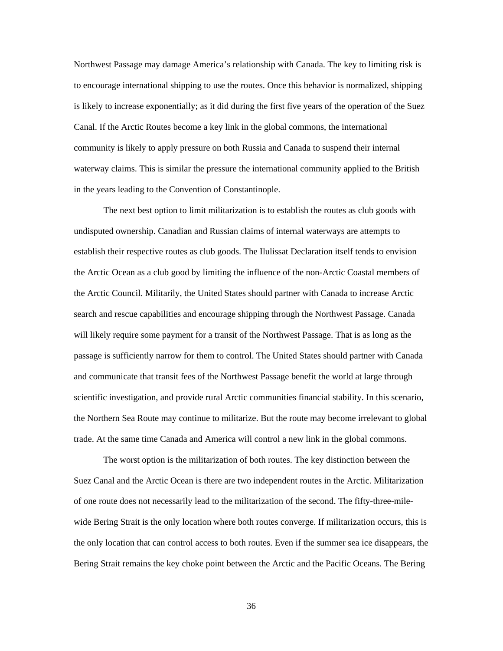Northwest Passage may damage America's relationship with Canada. The key to limiting risk is to encourage international shipping to use the routes. Once this behavior is normalized, shipping is likely to increase exponentially; as it did during the first five years of the operation of the Suez Canal. If the Arctic Routes become a key link in the global commons, the international community is likely to apply pressure on both Russia and Canada to suspend their internal waterway claims. This is similar the pressure the international community applied to the British in the years leading to the Convention of Constantinople.

The next best option to limit militarization is to establish the routes as club goods with undisputed ownership. Canadian and Russian claims of internal waterways are attempts to establish their respective routes as club goods. The Ilulissat Declaration itself tends to envision the Arctic Ocean as a club good by limiting the influence of the non-Arctic Coastal members of the Arctic Council. Militarily, the United States should partner with Canada to increase Arctic search and rescue capabilities and encourage shipping through the Northwest Passage. Canada will likely require some payment for a transit of the Northwest Passage. That is as long as the passage is sufficiently narrow for them to control. The United States should partner with Canada and communicate that transit fees of the Northwest Passage benefit the world at large through scientific investigation, and provide rural Arctic communities financial stability. In this scenario, the Northern Sea Route may continue to militarize. But the route may become irrelevant to global trade. At the same time Canada and America will control a new link in the global commons.

The worst option is the militarization of both routes. The key distinction between the Suez Canal and the Arctic Ocean is there are two independent routes in the Arctic. Militarization of one route does not necessarily lead to the militarization of the second. The fifty-three-milewide Bering Strait is the only location where both routes converge. If militarization occurs, this is the only location that can control access to both routes. Even if the summer sea ice disappears, the Bering Strait remains the key choke point between the Arctic and the Pacific Oceans. The Bering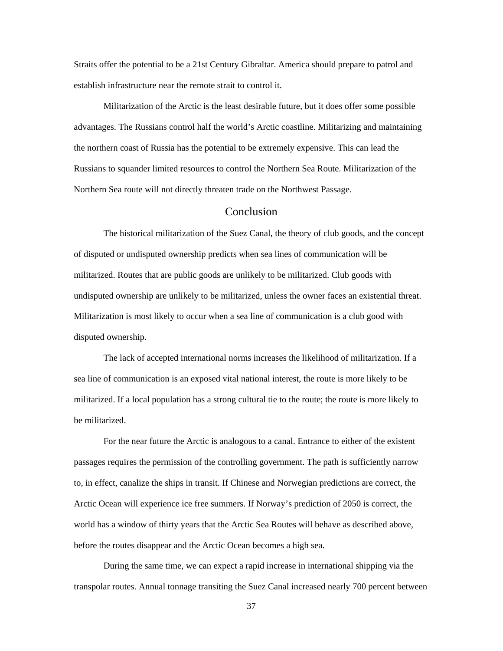Straits offer the potential to be a 21st Century Gibraltar. America should prepare to patrol and establish infrastructure near the remote strait to control it.

Militarization of the Arctic is the least desirable future, but it does offer some possible advantages. The Russians control half the world's Arctic coastline. Militarizing and maintaining the northern coast of Russia has the potential to be extremely expensive. This can lead the Russians to squander limited resources to control the Northern Sea Route. Militarization of the Northern Sea route will not directly threaten trade on the Northwest Passage.

#### **Conclusion**

<span id="page-43-0"></span>The historical militarization of the Suez Canal, the theory of club goods, and the concept of disputed or undisputed ownership predicts when sea lines of communication will be militarized. Routes that are public goods are unlikely to be militarized. Club goods with undisputed ownership are unlikely to be militarized, unless the owner faces an existential threat. Militarization is most likely to occur when a sea line of communication is a club good with disputed ownership.

The lack of accepted international norms increases the likelihood of militarization. If a sea line of communication is an exposed vital national interest, the route is more likely to be militarized. If a local population has a strong cultural tie to the route; the route is more likely to be militarized.

For the near future the Arctic is analogous to a canal. Entrance to either of the existent passages requires the permission of the controlling government. The path is sufficiently narrow to, in effect, canalize the ships in transit. If Chinese and Norwegian predictions are correct, the Arctic Ocean will experience ice free summers. If Norway's prediction of 2050 is correct, the world has a window of thirty years that the Arctic Sea Routes will behave as described above, before the routes disappear and the Arctic Ocean becomes a high sea.

During the same time, we can expect a rapid increase in international shipping via the transpolar routes. Annual tonnage transiting the Suez Canal increased nearly 700 percent between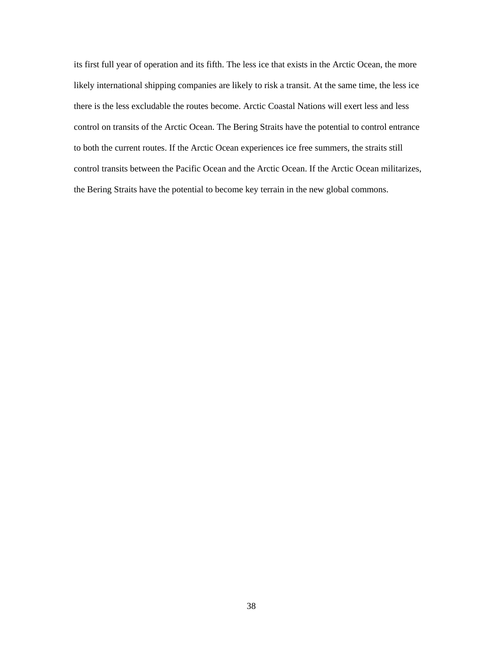its first full year of operation and its fifth. The less ice that exists in the Arctic Ocean, the more likely international shipping companies are likely to risk a transit. At the same time, the less ice there is the less excludable the routes become. Arctic Coastal Nations will exert less and less control on transits of the Arctic Ocean. The Bering Straits have the potential to control entrance to both the current routes. If the Arctic Ocean experiences ice free summers, the straits still control transits between the Pacific Ocean and the Arctic Ocean. If the Arctic Ocean militarizes, the Bering Straits have the potential to become key terrain in the new global commons.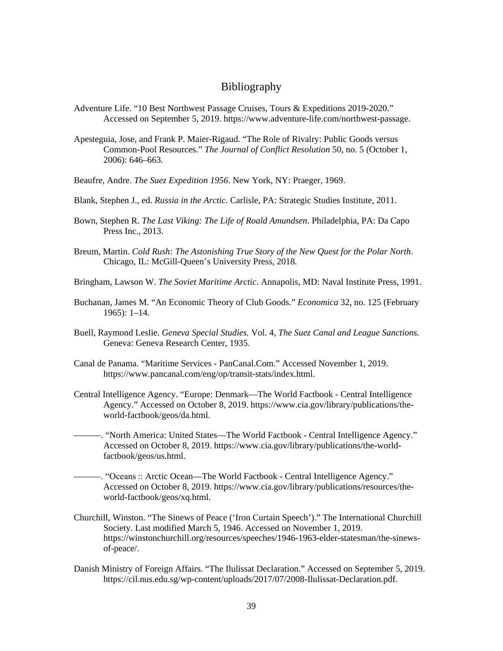#### Bibliography

- <span id="page-45-0"></span>Adventure Life. "10 Best Northwest Passage Cruises, Tours & Expeditions 2019-2020." Accessed on September 5, 2019. https://www.adventure-life.com/northwest-passage.
- Apesteguia, Jose, and Frank P. Maier-Rigaud. "The Role of Rivalry: Public Goods versus Common-Pool Resources." *The Journal of Conflict Resolution* 50, no. 5 (October 1, 2006): 646–663.
- Beaufre, Andre. *The Suez Expedition 1956*. New York, NY: Praeger, 1969.
- Blank, Stephen J., ed. *Russia in the Arctic*. Carlisle, PA: Strategic Studies Institute, 2011.
- Bown, Stephen R. *The Last Viking: The Life of Roald Amundsen*. Philadelphia, PA: Da Capo Press Inc., 2013.
- Breum, Martin. *Cold Rush: The Astonishing True Story of the New Quest for the Polar North*. Chicago, IL: McGill-Queen's University Press, 2018.
- Bringham, Lawson W. *The Soviet Maritime Arctic*. Annapolis, MD: Naval Institute Press, 1991.
- Buchanan, James M. "An Economic Theory of Club Goods." *Economica* 32, no. 125 (February 1965): 1–14.
- Buell, Raymond Leslie. *Geneva Special Studies.* Vol. 4, *The Suez Canal and League Sanctions.* Geneva: Geneva Research Center, 1935.
- Canal de Panama. "Maritime Services PanCanal.Com." Accessed November 1, 2019. https://www.pancanal.com/eng/op/transit-stats/index.html.
- Central Intelligence Agency. "Europe: Denmark—The World Factbook Central Intelligence Agency." Accessed on October 8, 2019. https://www.cia.gov/library/publications/theworld-factbook/geos/da.html.
- ———. "North America: United States—The World Factbook Central Intelligence Agency." Accessed on October 8, 2019. https://www.cia.gov/library/publications/the-worldfactbook/geos/us.html.
- ———. "Oceans :: Arctic Ocean—The World Factbook Central Intelligence Agency." Accessed on October 8, 2019. https://www.cia.gov/library/publications/resources/theworld-factbook/geos/xq.html.
- Churchill, Winston. "The Sinews of Peace ('Iron Curtain Speech')." The International Churchill Society. Last modified March 5, 1946. Accessed on November 1, 2019. https://winstonchurchill.org/resources/speeches/1946-1963-elder-statesman/the-sinewsof-peace/.
- Danish Ministry of Foreign Affairs. "The Ilulissat Declaration." Accessed on September 5, 2019. https://cil.nus.edu.sg/wp-content/uploads/2017/07/2008-Ilulissat-Declaration.pdf.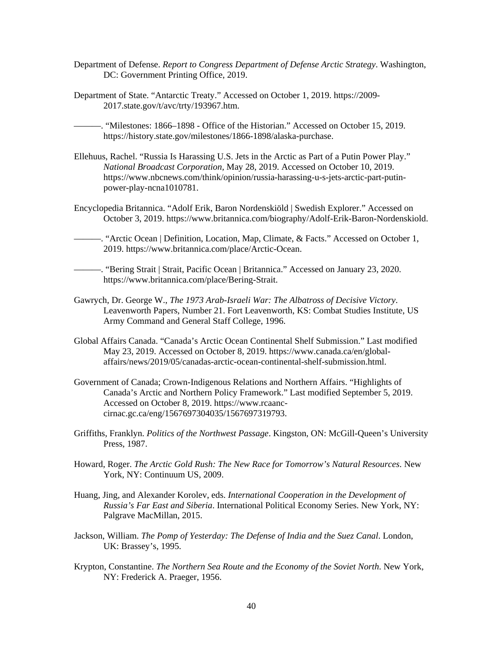- Department of Defense. *Report to Congress Department of Defense Arctic Strategy*. Washington, DC: Government Printing Office, 2019.
- Department of State. "Antarctic Treaty." Accessed on October 1, 2019. https://2009- 2017.state.gov/t/avc/trty/193967.htm.
	- ———. "Milestones: 1866–1898 Office of the Historian." Accessed on October 15, 2019. https://history.state.gov/milestones/1866-1898/alaska-purchase.
- Ellehuus, Rachel. "Russia Is Harassing U.S. Jets in the Arctic as Part of a Putin Power Play." *National Broadcast Corporation,* May 28, 2019. Accessed on October 10, 2019. https://www.nbcnews.com/think/opinion/russia-harassing-u-s-jets-arctic-part-putinpower-play-ncna1010781.
- Encyclopedia Britannica. "Adolf Erik, Baron Nordenskiöld | Swedish Explorer." Accessed on October 3, 2019. https://www.britannica.com/biography/Adolf-Erik-Baron-Nordenskiold.
	- ———. "Arctic Ocean | Definition, Location, Map, Climate, & Facts." Accessed on October 1, 2019. https://www.britannica.com/place/Arctic-Ocean.
- ———. "Bering Strait | Strait, Pacific Ocean | Britannica." Accessed on January 23, 2020. https://www.britannica.com/place/Bering-Strait.
- Gawrych, Dr. George W., *The 1973 Arab-Israeli War: The Albatross of Decisive Victory*. Leavenworth Papers*,* Number 21. Fort Leavenworth, KS: Combat Studies Institute, US Army Command and General Staff College, 1996.
- Global Affairs Canada. "Canada's Arctic Ocean Continental Shelf Submission." Last modified May 23, 2019. Accessed on October 8, 2019. https://www.canada.ca/en/globalaffairs/news/2019/05/canadas-arctic-ocean-continental-shelf-submission.html.
- Government of Canada; Crown-Indigenous Relations and Northern Affairs. "Highlights of Canada's Arctic and Northern Policy Framework." Last modified September 5, 2019. Accessed on October 8, 2019. https://www.rcaanccirnac.gc.ca/eng/1567697304035/1567697319793.
- Griffiths, Franklyn. *Politics of the Northwest Passage*. Kingston, ON: McGill-Queen's University Press, 1987.
- Howard, Roger. *The Arctic Gold Rush: The New Race for Tomorrow's Natural Resources*. New York, NY: Continuum US, 2009.
- Huang, Jing, and Alexander Korolev, eds. *International Cooperation in the Development of Russia's Far East and Siberia*. International Political Economy Series. New York, NY: Palgrave MacMillan, 2015.
- Jackson, William. *The Pomp of Yesterday: The Defense of India and the Suez Canal*. London, UK: Brassey's, 1995.
- Krypton, Constantine. *The Northern Sea Route and the Economy of the Soviet North*. New York, NY: Frederick A. Praeger, 1956.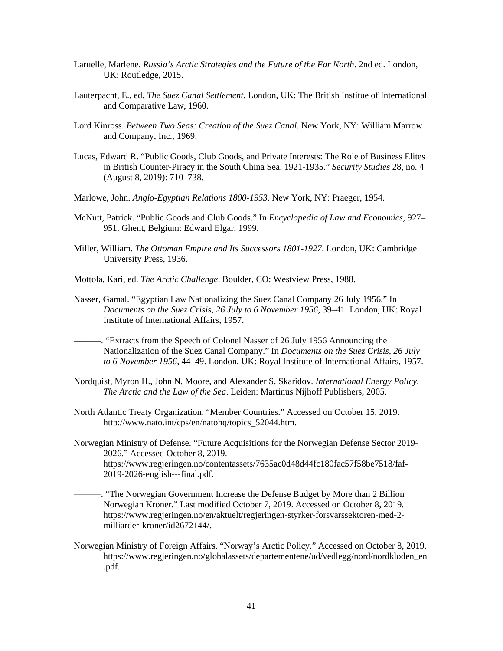- Laruelle, Marlene. *Russia's Arctic Strategies and the Future of the Far North*. 2nd ed. London, UK: Routledge, 2015.
- Lauterpacht, E., ed. *The Suez Canal Settlement*. London, UK: The British Institue of International and Comparative Law, 1960.
- Lord Kinross. *Between Two Seas: Creation of the Suez Canal*. New York, NY: William Marrow and Company, Inc., 1969.
- Lucas, Edward R. "Public Goods, Club Goods, and Private Interests: The Role of Business Elites in British Counter-Piracy in the South China Sea, 1921-1935." *Security Studies* 28, no. 4 (August 8, 2019): 710–738.
- Marlowe, John. *Anglo-Egyptian Relations 1800-1953*. New York, NY: Praeger, 1954.
- McNutt, Patrick. "Public Goods and Club Goods." In *Encyclopedia of Law and Economics*, 927– 951. Ghent, Belgium: Edward Elgar, 1999.
- Miller, William. *The Ottoman Empire and Its Successors 1801-1927*. London, UK: Cambridge University Press, 1936.
- Mottola, Kari, ed. *The Arctic Challenge*. Boulder, CO: Westview Press, 1988.
- Nasser, Gamal. "Egyptian Law Nationalizing the Suez Canal Company 26 July 1956." In *Documents on the Suez Crisis, 26 July to 6 November 1956*, 39–41. London, UK: Royal Institute of International Affairs, 1957.
- ———. "Extracts from the Speech of Colonel Nasser of 26 July 1956 Announcing the Nationalization of the Suez Canal Company." In *Documents on the Suez Crisis, 26 July to 6 November 1956*, 44–49. London, UK: Royal Institute of International Affairs, 1957.
- Nordquist, Myron H., John N. Moore, and Alexander S. Skaridov. *International Energy Policy, The Arctic and the Law of the Sea*. Leiden: Martinus Nijhoff Publishers, 2005.
- North Atlantic Treaty Organization. "Member Countries." Accessed on October 15, 2019. http://www.nato.int/cps/en/natohq/topics\_52044.htm.
- Norwegian Ministry of Defense. "Future Acquisitions for the Norwegian Defense Sector 2019- 2026." Accessed October 8, 2019. https://www.regjeringen.no/contentassets/7635ac0d48d44fc180fac57f58be7518/faf-2019-2026-english---final.pdf.
	- ———. "The Norwegian Government Increase the Defense Budget by More than 2 Billion Norwegian Kroner." Last modified October 7, 2019. Accessed on October 8, 2019. https://www.regjeringen.no/en/aktuelt/regjeringen-styrker-forsvarssektoren-med-2 milliarder-kroner/id2672144/.
- Norwegian Ministry of Foreign Affairs. "Norway's Arctic Policy." Accessed on October 8, 2019. https://www.regjeringen.no/globalassets/departementene/ud/vedlegg/nord/nordkloden\_en .pdf.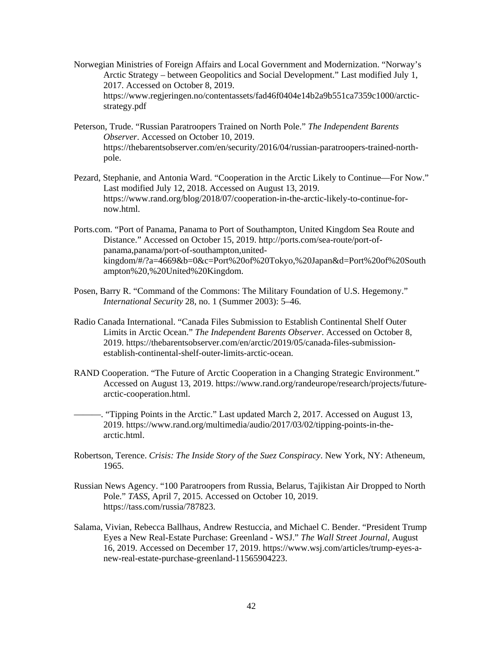- Norwegian Ministries of Foreign Affairs and Local Government and Modernization. "Norway's Arctic Strategy – between Geopolitics and Social Development." Last modified July 1, 2017. Accessed on October 8, 2019. https://www.regjeringen.no/contentassets/fad46f0404e14b2a9b551ca7359c1000/arcticstrategy.pdf
- Peterson, Trude. "Russian Paratroopers Trained on North Pole." *The Independent Barents Observer*. Accessed on October 10, 2019. https://thebarentsobserver.com/en/security/2016/04/russian-paratroopers-trained-northpole.
- Pezard, Stephanie, and Antonia Ward. "Cooperation in the Arctic Likely to Continue—For Now." Last modified July 12, 2018. Accessed on August 13, 2019. https://www.rand.org/blog/2018/07/cooperation-in-the-arctic-likely-to-continue-fornow.html.
- Ports.com. "Port of Panama, Panama to Port of Southampton, United Kingdom Sea Route and Distance." Accessed on October 15, 2019. http://ports.com/sea-route/port-ofpanama,panama/port-of-southampton,unitedkingdom/#/?a=4669&b=0&c=Port%20of%20Tokyo,%20Japan&d=Port%20of%20South ampton%20,%20United%20Kingdom.
- Posen, Barry R. "Command of the Commons: The Military Foundation of U.S. Hegemony." *International Security* 28, no. 1 (Summer 2003): 5–46.
- Radio Canada International. "Canada Files Submission to Establish Continental Shelf Outer Limits in Arctic Ocean." *The Independent Barents Observer*. Accessed on October 8, 2019. https://thebarentsobserver.com/en/arctic/2019/05/canada-files-submissionestablish-continental-shelf-outer-limits-arctic-ocean.
- RAND Cooperation. "The Future of Arctic Cooperation in a Changing Strategic Environment." Accessed on August 13, 2019. https://www.rand.org/randeurope/research/projects/futurearctic-cooperation.html.

———. "Tipping Points in the Arctic." Last updated March 2, 2017. Accessed on August 13, 2019. https://www.rand.org/multimedia/audio/2017/03/02/tipping-points-in-thearctic.html.

- Robertson, Terence. *Crisis: The Inside Story of the Suez Conspiracy*. New York, NY: Atheneum, 1965.
- Russian News Agency. "100 Paratroopers from Russia, Belarus, Tajikistan Air Dropped to North Pole." *TASS*, April 7, 2015. Accessed on October 10, 2019. https://tass.com/russia/787823.
- Salama, Vivian, Rebecca Ballhaus, Andrew Restuccia, and Michael C. Bender. "President Trump Eyes a New Real-Estate Purchase: Greenland - WSJ." *The Wall Street Journal*, August 16, 2019. Accessed on December 17, 2019. https://www.wsj.com/articles/trump-eyes-anew-real-estate-purchase-greenland-11565904223.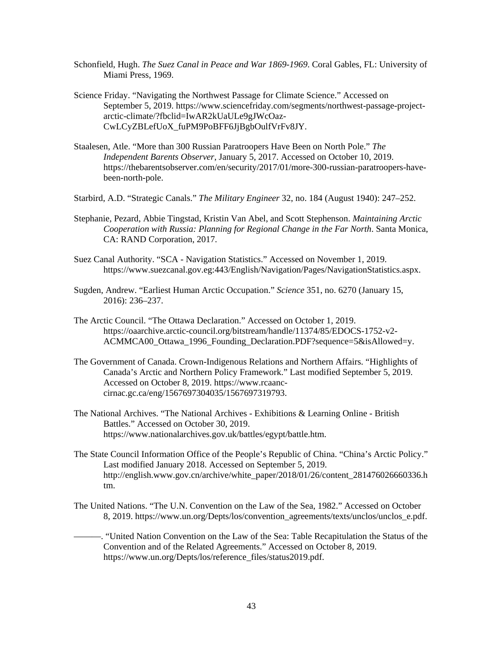- Schonfield, Hugh. *The Suez Canal in Peace and War 1869-1969*. Coral Gables, FL: University of Miami Press, 1969.
- Science Friday. "Navigating the Northwest Passage for Climate Science." Accessed on September 5, 2019. https://www.sciencefriday.com/segments/northwest-passage-projectarctic-climate/?fbclid=IwAR2kUaULe9gJWcOaz-CwLCyZBLefUoX\_fuPM9PoBFF6JjBgbOulfVrFv8JY.
- Staalesen, Atle. "More than 300 Russian Paratroopers Have Been on North Pole." *The Independent Barents Observer*, January 5, 2017. Accessed on October 10, 2019. https://thebarentsobserver.com/en/security/2017/01/more-300-russian-paratroopers-havebeen-north-pole.
- Starbird, A.D. "Strategic Canals." *The Military Engineer* 32, no. 184 (August 1940): 247–252.
- Stephanie, Pezard, Abbie Tingstad, Kristin Van Abel, and Scott Stephenson. *Maintaining Arctic Cooperation with Russia: Planning for Regional Change in the Far North*. Santa Monica, CA: RAND Corporation, 2017.
- Suez Canal Authority. "SCA Navigation Statistics." Accessed on November 1, 2019. https://www.suezcanal.gov.eg:443/English/Navigation/Pages/NavigationStatistics.aspx.
- Sugden, Andrew. "Earliest Human Arctic Occupation." *Science* 351, no. 6270 (January 15, 2016): 236–237.
- The Arctic Council. "The Ottawa Declaration." Accessed on October 1, 2019. https://oaarchive.arctic-council.org/bitstream/handle/11374/85/EDOCS-1752-v2- ACMMCA00\_Ottawa\_1996\_Founding\_Declaration.PDF?sequence=5&isAllowed=y.
- The Government of Canada. Crown-Indigenous Relations and Northern Affairs. "Highlights of Canada's Arctic and Northern Policy Framework." Last modified September 5, 2019. Accessed on October 8, 2019. https://www.rcaanccirnac.gc.ca/eng/1567697304035/1567697319793.
- The National Archives. "The National Archives Exhibitions & Learning Online British Battles." Accessed on October 30, 2019. https://www.nationalarchives.gov.uk/battles/egypt/battle.htm.
- The State Council Information Office of the People's Republic of China. "China's Arctic Policy." Last modified January 2018. Accessed on September 5, 2019. http://english.www.gov.cn/archive/white\_paper/2018/01/26/content\_281476026660336.h tm.
- The United Nations. "The U.N. Convention on the Law of the Sea, 1982." Accessed on October 8, 2019. https://www.un.org/Depts/los/convention\_agreements/texts/unclos/unclos\_e.pdf.
- ———. "United Nation Convention on the Law of the Sea: Table Recapitulation the Status of the Convention and of the Related Agreements." Accessed on October 8, 2019. https://www.un.org/Depts/los/reference\_files/status2019.pdf.